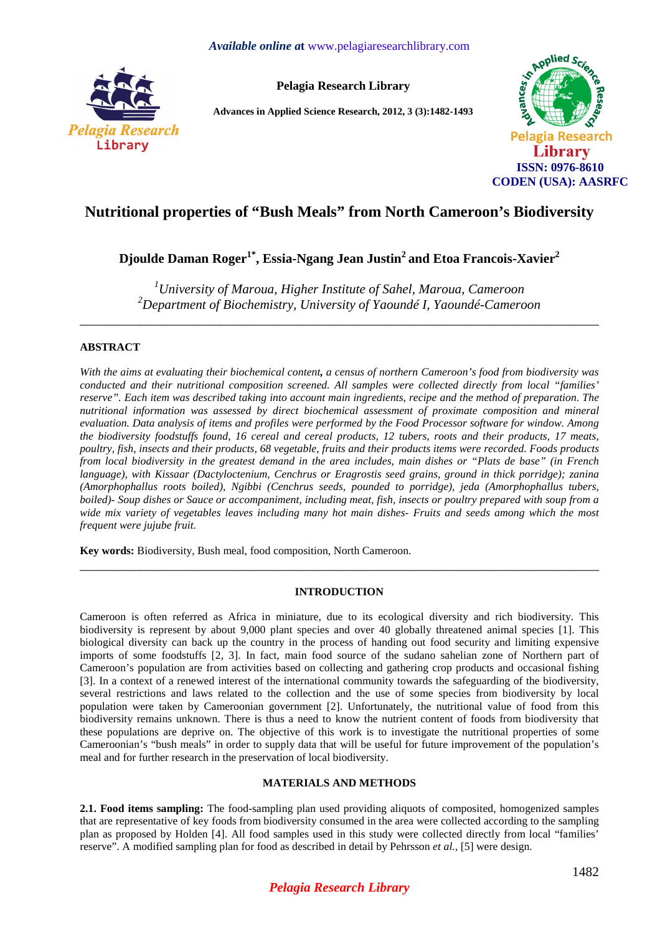

**Pelagia Research Library** 

**Advances in Applied Science Research, 2012, 3 (3):1482-1493** 



# **Nutritional properties of "Bush Meals" from North Cameroon's Biodiversity**

**Djoulde Daman Roger1\*, Essia-Ngang Jean Justin<sup>2</sup>and Etoa Francois-Xavier<sup>2</sup>**

*<sup>1</sup>University of Maroua, Higher Institute of Sahel, Maroua, Cameroon <sup>2</sup>Department of Biochemistry, University of Yaoundé I, Yaoundé-Cameroon* 

\_\_\_\_\_\_\_\_\_\_\_\_\_\_\_\_\_\_\_\_\_\_\_\_\_\_\_\_\_\_\_\_\_\_\_\_\_\_\_\_\_\_\_\_\_\_\_\_\_\_\_\_\_\_\_\_\_\_\_\_\_\_\_\_\_\_\_\_\_\_\_\_\_\_\_\_\_\_

## **ABSTRACT**

*With the aims at evaluating their biochemical content, a census of northern Cameroon's food from biodiversity was conducted and their nutritional composition screened. All samples were collected directly from local "families' reserve". Each item was described taking into account main ingredients, recipe and the method of preparation. The nutritional information was assessed by direct biochemical assessment of proximate composition and mineral evaluation. Data analysis of items and profiles were performed by the Food Processor software for window. Among the biodiversity foodstuffs found, 16 cereal and cereal products, 12 tubers, roots and their products, 17 meats, poultry, fish, insects and their products, 68 vegetable, fruits and their products items were recorded. Foods products from local biodiversity in the greatest demand in the area includes, main dishes or "Plats de base" (in French language), with Kissaar (Dactyloctenium, Cenchrus or Eragrostis seed grains, ground in thick porridge); zanina (Amorphophallus roots boiled), Ngibbi (Cenchrus seeds, pounded to porridge), jeda (Amorphophallus tubers, boiled*)- Soup dishes or Sauce or accompaniment, including meat, fish, insects or poultry prepared with soup from a *wide mix variety of vegetables leaves including many hot main dishes- Fruits and seeds among which the most frequent were jujube fruit.* 

**Key words:** Biodiversity, Bush meal, food composition, North Cameroon.

### **INTRODUCTION**

\_\_\_\_\_\_\_\_\_\_\_\_\_\_\_\_\_\_\_\_\_\_\_\_\_\_\_\_\_\_\_\_\_\_\_\_\_\_\_\_\_\_\_\_\_\_\_\_\_\_\_\_\_\_\_\_\_\_\_\_\_\_\_\_\_\_\_\_\_\_\_\_\_\_\_\_\_\_

Cameroon is often referred as Africa in miniature, due to its ecological diversity and rich biodiversity. This biodiversity is represent by about 9,000 plant species and over 40 globally threatened animal species [1]. This biological diversity can back up the country in the process of handing out food security and limiting expensive imports of some foodstuffs [2, 3]. In fact, main food source of the sudano sahelian zone of Northern part of Cameroon's population are from activities based on collecting and gathering crop products and occasional fishing [3]. In a context of a renewed interest of the international community towards the safeguarding of the biodiversity, several restrictions and laws related to the collection and the use of some species from biodiversity by local population were taken by Cameroonian government [2]. Unfortunately, the nutritional value of food from this biodiversity remains unknown. There is thus a need to know the nutrient content of foods from biodiversity that these populations are deprive on. The objective of this work is to investigate the nutritional properties of some Cameroonian's "bush meals" in order to supply data that will be useful for future improvement of the population's meal and for further research in the preservation of local biodiversity.

### **MATERIALS AND METHODS**

**2.1. Food items sampling:** The food-sampling plan used providing aliquots of composited, homogenized samples that are representative of key foods from biodiversity consumed in the area were collected according to the sampling plan as proposed by Holden [4]. All food samples used in this study were collected directly from local "families' reserve". A modified sampling plan for food as described in detail by Pehrsson *et al.,* [5] were design.

# *Pelagia Research Library*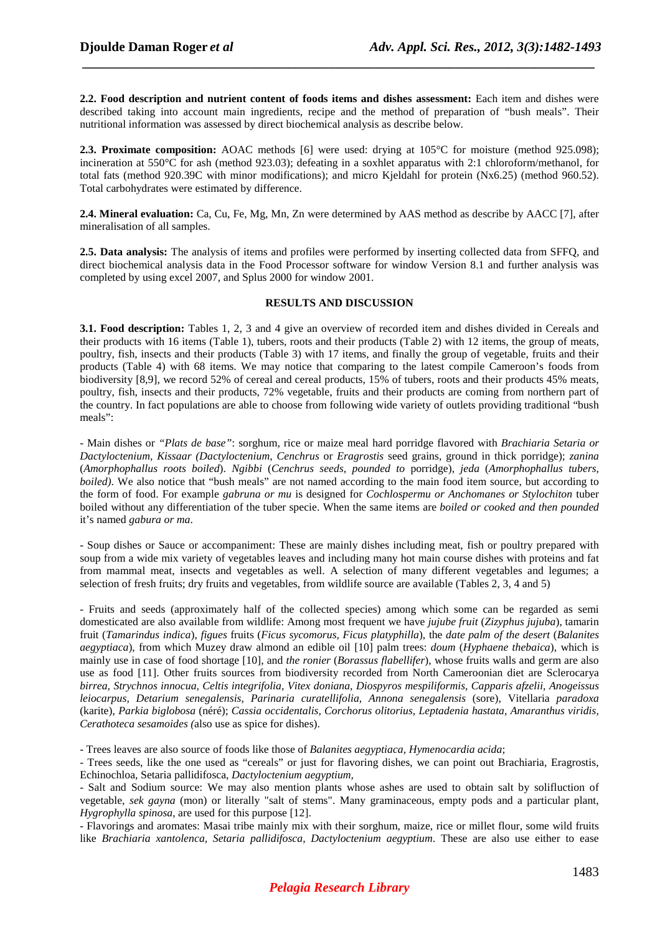**2.2. Food description and nutrient content of foods items and dishes assessment:** Each item and dishes were described taking into account main ingredients, recipe and the method of preparation of "bush meals". Their nutritional information was assessed by direct biochemical analysis as describe below.

 *\_\_\_\_\_\_\_\_\_\_\_\_\_\_\_\_\_\_\_\_\_\_\_\_\_\_\_\_\_\_\_\_\_\_\_\_\_\_\_\_\_\_\_\_\_\_\_\_\_\_\_\_\_\_\_\_\_\_\_\_\_\_\_\_\_\_\_\_\_\_\_\_\_\_\_\_\_*

**2.3. Proximate composition:** AOAC methods [6] were used: drying at 105°C for moisture (method 925.098); incineration at 550°C for ash (method 923.03); defeating in a soxhlet apparatus with 2:1 chloroform/methanol, for total fats (method 920.39C with minor modifications); and micro Kjeldahl for protein (Nx6.25) (method 960.52). Total carbohydrates were estimated by difference.

**2.4. Mineral evaluation:** Ca, Cu, Fe, Mg, Mn, Zn were determined by AAS method as describe by AACC [7], after mineralisation of all samples.

**2.5. Data analysis:** The analysis of items and profiles were performed by inserting collected data from SFFQ, and direct biochemical analysis data in the Food Processor software for window Version 8.1 and further analysis was completed by using excel 2007, and Splus 2000 for window 2001.

#### **RESULTS AND DISCUSSION**

**3.1. Food description:** Tables 1, 2, 3 and 4 give an overview of recorded item and dishes divided in Cereals and their products with 16 items (Table 1), tubers, roots and their products (Table 2) with 12 items, the group of meats, poultry, fish, insects and their products (Table 3) with 17 items, and finally the group of vegetable, fruits and their products (Table 4) with 68 items. We may notice that comparing to the latest compile Cameroon's foods from biodiversity [8,9], we record 52% of cereal and cereal products, 15% of tubers, roots and their products 45% meats, poultry, fish, insects and their products, 72% vegetable, fruits and their products are coming from northern part of the country. In fact populations are able to choose from following wide variety of outlets providing traditional "bush meals":

- Main dishes or *"Plats de base"*: sorghum, rice or maize meal hard porridge flavored with *Brachiaria Setaria or Dactyloctenium, Kissaar (Dactyloctenium*, *Cenchrus* or *Eragrostis* seed grains, ground in thick porridge); *zanina* (*Amorphophallus roots boiled*). *Ngibbi* (*Cenchrus seeds, pounded to* porridge), *jeda* (*Amorphophallus tubers, boiled*). We also notice that "bush meals" are not named according to the main food item source, but according to the form of food. For example *gabruna or mu* is designed for *Cochlospermu or Anchomanes or Stylochiton* tuber boiled without any differentiation of the tuber specie. When the same items are *boiled or cooked and then pounded* it's named *gabura or ma*.

- Soup dishes or Sauce or accompaniment: These are mainly dishes including meat, fish or poultry prepared with soup from a wide mix variety of vegetables leaves and including many hot main course dishes with proteins and fat from mammal meat, insects and vegetables as well. A selection of many different vegetables and legumes; a selection of fresh fruits; dry fruits and vegetables, from wildlife source are available (Tables 2, 3, 4 and 5)

- Fruits and seeds (approximately half of the collected species) among which some can be regarded as semi domesticated are also available from wildlife: Among most frequent we have *jujube fruit* (*Zizyphus jujuba*), tamarin fruit (*Tamarindus indica*), *figues* fruits (*Ficus sycomorus, Ficus platyphilla*), the *date palm of the desert* (*Balanites aegyptiaca*), from which Muzey draw almond an edible oil [10] palm trees: *doum* (*Hyphaene thebaica*), which is mainly use in case of food shortage [10], and *the ronier* (*Borassus flabellifer*), whose fruits walls and germ are also use as food [11]. Other fruits sources from biodiversity recorded from North Cameroonian diet are Sclerocarya *birrea, Strychnos innocua, Celtis integrifolia, Vitex doniana, Diospyros mespiliformis, Capparis afzelii, Anogeissus leiocarpus, Detarium senegalensis, Parinaria curatellifolia*, *Annona senegalensis* (sore), Vitellaria *paradoxa* (karite), *Parkia biglobosa* (néré); *Cassia occidentalis, Corchorus olitorius, Leptadenia hastata, Amaranthus viridis, Cerathoteca sesamoides (*also use as spice for dishes).

- Trees leaves are also source of foods like those of *Balanites aegyptiaca, Hymenocardia acida*;

- Trees seeds, like the one used as "cereals" or just for flavoring dishes, we can point out Brachiaria, Eragrostis, Echinochloa, Setaria pallidifosca, *Dactyloctenium aegyptium,*

- Salt and Sodium source: We may also mention plants whose ashes are used to obtain salt by solifluction of vegetable, *sek gayna* (mon) or literally "salt of stems". Many graminaceous, empty pods and a particular plant, *Hygrophylla spinosa*, are used for this purpose [12].

- Flavorings and aromates: Masai tribe mainly mix with their sorghum, maize, rice or millet flour, some wild fruits like *Brachiaria xantolenca, Setaria pallidifosca, Dactyloctenium aegyptium*. These are also use either to ease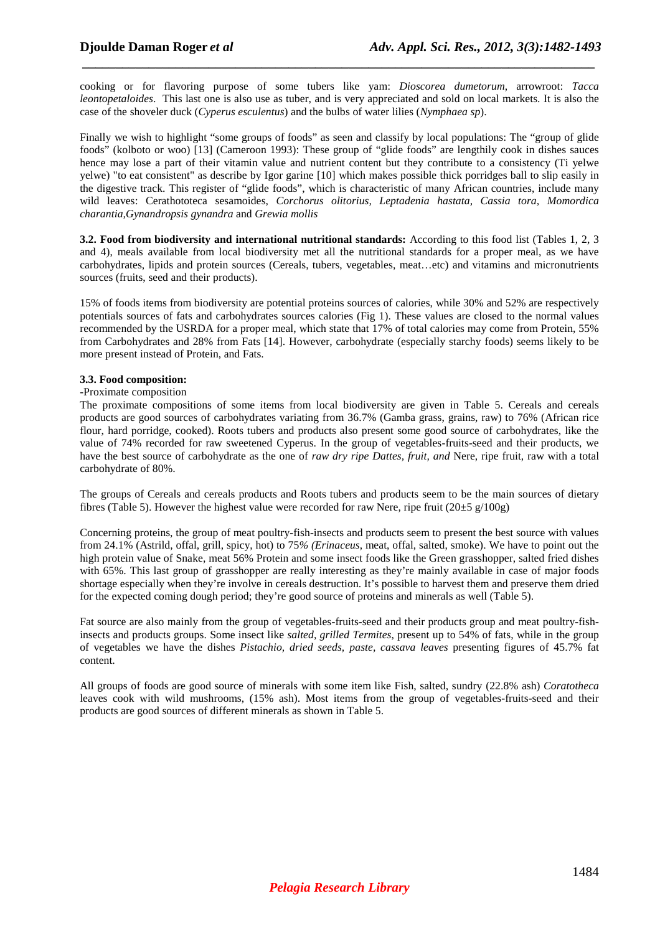cooking or for flavoring purpose of some tubers like yam: *Dioscorea dumetorum*, arrowroot: *Tacca leontopetaloides*. This last one is also use as tuber, and is very appreciated and sold on local markets. It is also the case of the shoveler duck (*Cyperus esculentus*) and the bulbs of water lilies (*Nymphaea sp*).

 *\_\_\_\_\_\_\_\_\_\_\_\_\_\_\_\_\_\_\_\_\_\_\_\_\_\_\_\_\_\_\_\_\_\_\_\_\_\_\_\_\_\_\_\_\_\_\_\_\_\_\_\_\_\_\_\_\_\_\_\_\_\_\_\_\_\_\_\_\_\_\_\_\_\_\_\_\_*

Finally we wish to highlight "some groups of foods" as seen and classify by local populations: The "group of glide" foods" (kolboto or woo) [13] (Cameroon 1993): These group of "glide foods" are lengthily cook in dishes sauces hence may lose a part of their vitamin value and nutrient content but they contribute to a consistency (Ti yelwe yelwe) "to eat consistent" as describe by Igor garine [10] which makes possible thick porridges ball to slip easily in the digestive track. This register of "glide foods", which is characteristic of many African countries, include many wild leaves: Cerathototeca sesamoides, *Corchorus olitorius, Leptadenia hastata, Cassia tora, Momordica charantia,Gynandropsis gynandra* and *Grewia mollis* 

**3.2. Food from biodiversity and international nutritional standards:** According to this food list (Tables 1, 2, 3 and 4), meals available from local biodiversity met all the nutritional standards for a proper meal, as we have carbohydrates, lipids and protein sources (Cereals, tubers, vegetables, meat…etc) and vitamins and micronutrients sources (fruits, seed and their products).

15% of foods items from biodiversity are potential proteins sources of calories, while 30% and 52% are respectively potentials sources of fats and carbohydrates sources calories (Fig 1). These values are closed to the normal values recommended by the USRDA for a proper meal, which state that 17% of total calories may come from Protein, 55% from Carbohydrates and 28% from Fats [14]. However, carbohydrate (especially starchy foods) seems likely to be more present instead of Protein, and Fats.

#### **3.3. Food composition:**

#### -Proximate composition

The proximate compositions of some items from local biodiversity are given in Table 5. Cereals and cereals products are good sources of carbohydrates variating from 36.7% (Gamba grass, grains, raw) to 76% (African rice flour, hard porridge, cooked). Roots tubers and products also present some good source of carbohydrates, like the value of 74% recorded for raw sweetened Cyperus. In the group of vegetables-fruits-seed and their products, we have the best source of carbohydrate as the one of *raw dry ripe Dattes, fruit, and* Nere, ripe fruit, raw with a total carbohydrate of 80%.

The groups of Cereals and cereals products and Roots tubers and products seem to be the main sources of dietary fibres (Table 5). However the highest value were recorded for raw Nere, ripe fruit (20 $\pm$ 5 g/100g)

Concerning proteins, the group of meat poultry-fish-insects and products seem to present the best source with values from 24.1% (Astrild, offal, grill, spicy, hot) to 75*% (Erinaceus*, meat, offal, salted, smoke). We have to point out the high protein value of Snake, meat 56% Protein and some insect foods like the Green grasshopper, salted fried dishes with 65%. This last group of grasshopper are really interesting as they're mainly available in case of major foods shortage especially when they're involve in cereals destruction. It's possible to harvest them and preserve them dried for the expected coming dough period; they're good source of proteins and minerals as well (Table 5).

Fat source are also mainly from the group of vegetables-fruits-seed and their products group and meat poultry-fishinsects and products groups. Some insect like *salted, grilled Termites*, present up to 54% of fats, while in the group of vegetables we have the dishes *Pistachio, dried seeds, paste, cassava leaves* presenting figures of 45.7% fat content.

All groups of foods are good source of minerals with some item like Fish, salted, sundry (22.8% ash) *Coratotheca* leaves cook with wild mushrooms, (15% ash). Most items from the group of vegetables-fruits-seed and their products are good sources of different minerals as shown in Table 5.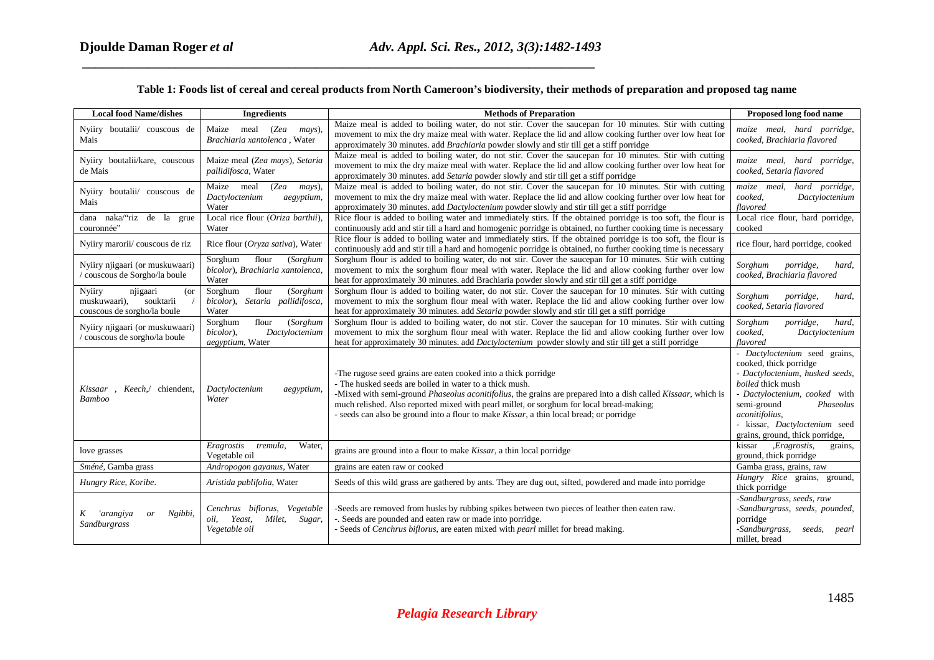## **Table 1: Foods list of cereal and cereal products from North Cameroon's biodiversity, their methods of preparation and proposed tag name**

 *\_\_\_\_\_\_\_\_\_\_\_\_\_\_\_\_\_\_\_\_\_\_\_\_\_\_\_\_\_\_\_\_\_\_\_\_\_\_\_\_\_\_\_\_\_\_\_\_\_\_\_\_\_\_\_\_\_\_\_\_\_\_\_\_\_\_\_\_\_\_\_\_\_\_\_\_\_*

| <b>Local food Name/dishes</b>                                                         | <b>Ingredients</b>                                                                     | <b>Methods of Preparation</b>                                                                                                                                                                                                                                                                                                                                                                                                             | Proposed long food name                                                                                                                                                                                                                                            |
|---------------------------------------------------------------------------------------|----------------------------------------------------------------------------------------|-------------------------------------------------------------------------------------------------------------------------------------------------------------------------------------------------------------------------------------------------------------------------------------------------------------------------------------------------------------------------------------------------------------------------------------------|--------------------------------------------------------------------------------------------------------------------------------------------------------------------------------------------------------------------------------------------------------------------|
| Nyiiry boutalii/ couscous de<br>Mais                                                  | Maize<br>meal<br>(Zea<br>mays),<br>Brachiaria xantolenca, Water                        | Maize meal is added to boiling water, do not stir. Cover the saucepan for 10 minutes. Stir with cutting<br>movement to mix the dry maize meal with water. Replace the lid and allow cooking further over low heat for<br>approximately 30 minutes. add Brachiaria powder slowly and stir till get a stiff porridge                                                                                                                        | maize meal, hard porridge,<br>cooked, Brachiaria flavored                                                                                                                                                                                                          |
| Nyiiry boutalii/kare, couscous<br>de Mais                                             | Maize meal (Zea mays), Setaria<br>pallidifosca, Water                                  | Maize meal is added to boiling water, do not stir. Cover the saucepan for 10 minutes. Stir with cutting<br>movement to mix the dry maize meal with water. Replace the lid and allow cooking further over low heat for<br>approximately 30 minutes. add Setaria powder slowly and stir till get a stiff porridge                                                                                                                           | maize meal, hard porridge,<br>cooked, Setaria flavored                                                                                                                                                                                                             |
| Nyiiry boutalii/ couscous de<br>Mais                                                  | mays),<br>Maize meal<br>(Zea<br>Dactyloctenium<br>aegyptium,<br>Water                  | Maize meal is added to boiling water, do not stir. Cover the saucepan for 10 minutes. Stir with cutting<br>movement to mix the dry maize meal with water. Replace the lid and allow cooking further over low heat for<br>approximately 30 minutes. add Dactyloctenium powder slowly and stir till get a stiff porridge                                                                                                                    | maize meal,<br>hard porridge,<br>cooked.<br>Dactyloctenium<br>flavored                                                                                                                                                                                             |
| dana naka/"riz de la grue<br>couronnée"                                               | Local rice flour (Oriza barthii).<br>Water                                             | Rice flour is added to boiling water and immediately stirs. If the obtained porridge is too soft, the flour is<br>continuously add and stir till a hard and homogenic porridge is obtained, no further cooking time is necessary                                                                                                                                                                                                          | Local rice flour, hard porridge,<br>cooked                                                                                                                                                                                                                         |
| Nyiiry marorii/ couscous de riz                                                       | Rice flour (Oryza sativa), Water                                                       | Rice flour is added to boiling water and immediately stirs. If the obtained porridge is too soft, the flour is<br>continuously add and stir till a hard and homogenic porridge is obtained, no further cooking time is necessary                                                                                                                                                                                                          | rice flour, hard porridge, cooked                                                                                                                                                                                                                                  |
| Nyiiry njigaari (or muskuwaari)<br>/ couscous de Sorgho/la boule                      | Sorghum<br>flour<br>(Sorghum<br>bicolor), Brachiaria xantolenca,<br>Water              | Sorghum flour is added to boiling water, do not stir. Cover the saucepan for 10 minutes. Stir with cutting<br>movement to mix the sorghum flour meal with water. Replace the lid and allow cooking further over low<br>heat for approximately 30 minutes. add Brachiaria powder slowly and stir till get a stiff porridge                                                                                                                 | Sorghum<br>porridge,<br>hard,<br>cooked, Brachiaria flavored                                                                                                                                                                                                       |
| Nyiiry<br>njigaari<br>(or<br>muskuwaari),<br>souktarii<br>couscous de sorgho/la boule | flour<br>(Sorghum<br>Sorghum<br>bicolor), Setaria pallidifosca,<br>Water               | Sorghum flour is added to boiling water, do not stir. Cover the saucepan for 10 minutes. Stir with cutting<br>movement to mix the sorghum flour meal with water. Replace the lid and allow cooking further over low<br>heat for approximately 30 minutes. add Setaria powder slowly and stir till get a stiff porridge                                                                                                                    | porridge,<br>Sorghum<br>hard,<br>cooked, Setaria flavored                                                                                                                                                                                                          |
| Nyiiry njigaari (or muskuwaari)<br>/ couscous de sorgho/la boule                      | flour<br>(Sorghum<br>Sorghum<br>bicolor).<br>Dactyloctenium<br>aegyptium, Water        | Sorghum flour is added to boiling water, do not stir. Cover the saucepan for 10 minutes. Stir with cutting<br>movement to mix the sorghum flour meal with water. Replace the lid and allow cooking further over low<br>heat for approximately 30 minutes. add <i>Dactyloctenium</i> powder slowly and stir till get a stiff porridge                                                                                                      | Sorghum<br>porridge,<br>hard,<br>cooked,<br>Dactyloctenium<br>flavored                                                                                                                                                                                             |
| , Keech,/ chiendent,<br>Kissaar<br><b>Bamboo</b>                                      | Dactyloctenium<br>aegyptium,<br>Water                                                  | -The rugose seed grains are eaten cooked into a thick porridge<br>- The husked seeds are boiled in water to a thick mush.<br>-Mixed with semi-ground Phaseolus aconitifolius, the grains are prepared into a dish called Kissaar, which is<br>much relished. Also reported mixed with pearl millet, or sorghum for local bread-making;<br>- seeds can also be ground into a flour to make <i>Kissar</i> , a thin local bread; or porridge | - Dactyloctenium seed grains,<br>cooked, thick porridge<br>- Dactyloctenium, husked seeds,<br>boiled thick mush<br>- Dactyloctenium, cooked with<br>semi-ground<br>Phaseolus<br>aconitifolius,<br>- kissar, Dactyloctenium seed<br>grains, ground, thick porridge, |
| love grasses                                                                          | Eragrostis<br>Water,<br>tremula,<br>Vegetable oil                                      | grains are ground into a flour to make <i>Kissar</i> , a thin local porridge                                                                                                                                                                                                                                                                                                                                                              | , Eragrostis,<br>kissar<br>grains,<br>ground, thick porridge                                                                                                                                                                                                       |
| Sméné, Gamba grass                                                                    | Andropogon gayanus, Water                                                              | grains are eaten raw or cooked                                                                                                                                                                                                                                                                                                                                                                                                            | Gamba grass, grains, raw                                                                                                                                                                                                                                           |
| Hungry Rice, Koribe.                                                                  | Aristida publifolia, Water                                                             | Seeds of this wild grass are gathered by ants. They are dug out, sifted, powdered and made into porridge                                                                                                                                                                                                                                                                                                                                  | Hungry Rice grains, ground,<br>thick porridge                                                                                                                                                                                                                      |
| 'arangiya<br>Ngibbi,<br>K<br>or<br>Sandburgrass                                       | Cenchrus biflorus,<br>Vegetable<br>Yeast,<br>Milet,<br>Sugar,<br>oil,<br>Vegetable oil | -Seeds are removed from husks by rubbing spikes between two pieces of leather then eaten raw.<br>-. Seeds are pounded and eaten raw or made into porridge.<br>- Seeds of Cenchrus biflorus, are eaten mixed with pearl millet for bread making.                                                                                                                                                                                           | -Sandburgrass, seeds, raw<br>-Sandburgrass, seeds, pounded,<br>porridge<br>-Sandburgrass,<br>seeds,<br>pearl<br>millet, bread                                                                                                                                      |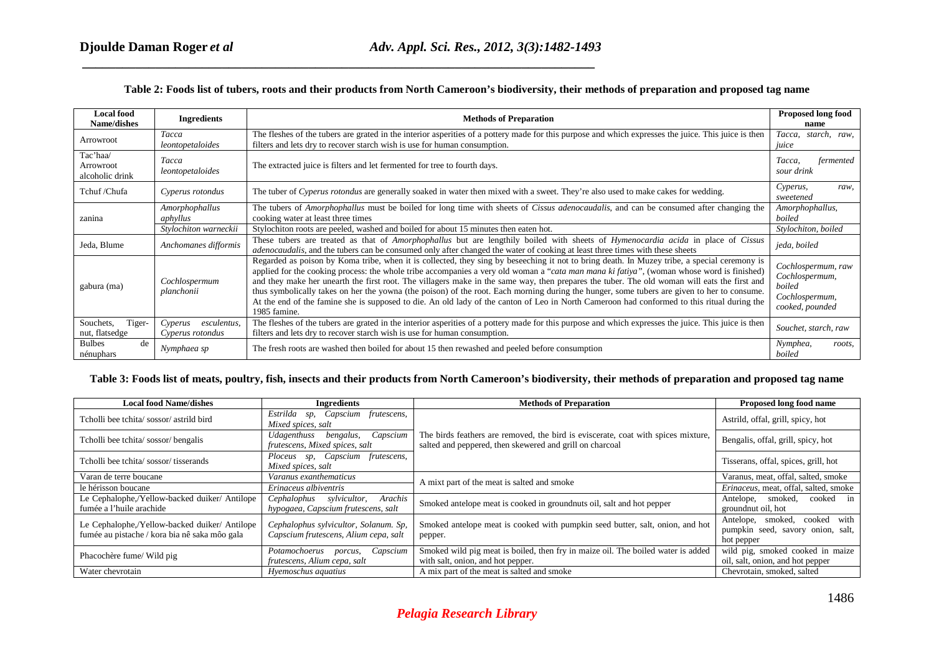### **Table 2: Foods list of tubers, roots and their products from North Cameroon's biodiversity, their methods of preparation and proposed tag name**

 *\_\_\_\_\_\_\_\_\_\_\_\_\_\_\_\_\_\_\_\_\_\_\_\_\_\_\_\_\_\_\_\_\_\_\_\_\_\_\_\_\_\_\_\_\_\_\_\_\_\_\_\_\_\_\_\_\_\_\_\_\_\_\_\_\_\_\_\_\_\_\_\_\_\_\_\_\_*

| <b>Local food</b><br>Name/dishes         | <b>Ingredients</b>                         | <b>Methods of Preparation</b>                                                                                                                                                                                                                                                                                                                                                                                                                                                                                                                                                                                                                                                                                                                           | <b>Proposed long food</b><br>name                                                   |
|------------------------------------------|--------------------------------------------|---------------------------------------------------------------------------------------------------------------------------------------------------------------------------------------------------------------------------------------------------------------------------------------------------------------------------------------------------------------------------------------------------------------------------------------------------------------------------------------------------------------------------------------------------------------------------------------------------------------------------------------------------------------------------------------------------------------------------------------------------------|-------------------------------------------------------------------------------------|
| Arrowroot                                | Tacca<br>leontopetaloides                  | The fleshes of the tubers are grated in the interior asperities of a pottery made for this purpose and which expresses the juice. This juice is then<br>filters and lets dry to recover starch wish is use for human consumption.                                                                                                                                                                                                                                                                                                                                                                                                                                                                                                                       | Tacca,<br>starch,<br>raw.<br>juice                                                  |
| Tac'haa/<br>Arrowroot<br>alcoholic drink | Tacca<br>leontopetaloides                  | The extracted juice is filters and let fermented for tree to fourth days.                                                                                                                                                                                                                                                                                                                                                                                                                                                                                                                                                                                                                                                                               | Tacca,<br>fermented<br>sour drink                                                   |
| Tchuf /Chufa                             | Cyperus rotondus                           | The tuber of Cyperus rotondus are generally soaked in water then mixed with a sweet. They're also used to make cakes for wedding.                                                                                                                                                                                                                                                                                                                                                                                                                                                                                                                                                                                                                       | Cyperus,<br>raw,<br>sweetened                                                       |
| zanina                                   | Amorphophallus<br>aphyllus                 | The tubers of Amorphophallus must be boiled for long time with sheets of Cissus adenocaudalis, and can be consumed after changing the<br>cooking water at least three times                                                                                                                                                                                                                                                                                                                                                                                                                                                                                                                                                                             | Amorphophallus,<br>boiled                                                           |
|                                          | Stylochiton warneckii                      | Stylochiton roots are peeled, washed and boiled for about 15 minutes then eaten hot.                                                                                                                                                                                                                                                                                                                                                                                                                                                                                                                                                                                                                                                                    | Stylochiton, boiled                                                                 |
| Jeda, Blume                              | Anchomanes difformis                       | These tubers are treated as that of Amorphophallus but are lengthily boiled with sheets of Hymenocardia acida in place of Cissus<br><i>adenocaudalis</i> , and the tubers can be consumed only after changed the water of cooking at least three times with these sheets                                                                                                                                                                                                                                                                                                                                                                                                                                                                                | jeda, boiled                                                                        |
| gabura (ma)                              | Cochlospermum<br>planchonii                | Regarded as poison by Koma tribe, when it is collected, they sing by beseeching it not to bring death. In Muzey tribe, a special ceremony is<br>applied for the cooking process: the whole tribe accompanies a very old woman a "cata man mana ki fatiya", (woman whose word is finished)<br>and they make her unearth the first root. The villagers make in the same way, then prepares the tuber. The old woman will eats the first and<br>thus symbolically takes on her the yowna (the poison) of the root. Each morning during the hunger, some tubers are given to her to consume.<br>At the end of the famine she is supposed to die. An old lady of the canton of Leo in North Cameroon had conformed to this ritual during the<br>1985 famine. | Cochlospermum, raw<br>Cochlospermum,<br>boiled<br>Cochlospermum,<br>cooked, pounded |
| Tiger-<br>Souchets,<br>nut, flatsedge    | Cyperus<br>esculentus,<br>Cyperus rotondus | The fleshes of the tubers are grated in the interior asperities of a pottery made for this purpose and which expresses the juice. This juice is then<br>filters and lets dry to recover starch wish is use for human consumption.                                                                                                                                                                                                                                                                                                                                                                                                                                                                                                                       | Souchet, starch, raw                                                                |
| <b>Bulbes</b><br>de<br>nénuphars         | Nymphaea sp                                | The fresh roots are washed then boiled for about 15 then rewashed and peeled before consumption                                                                                                                                                                                                                                                                                                                                                                                                                                                                                                                                                                                                                                                         | Nymphea,<br>roots,<br>boiled                                                        |

### **Table 3: Foods list of meats, poultry, fish, insects and their products from North Cameroon's biodiversity, their methods of preparation and proposed tag name**

| <b>Local food Name/dishes</b>                                                                  | <b>Ingredients</b>                                                                   | <b>Methods of Preparation</b>                                                                                                                 | Proposed long food name                                                             |  |  |
|------------------------------------------------------------------------------------------------|--------------------------------------------------------------------------------------|-----------------------------------------------------------------------------------------------------------------------------------------------|-------------------------------------------------------------------------------------|--|--|
| Tcholli bee tchita/sossor/astrild bird                                                         | Estrilda sp, Capscium frutescens,<br>Mixed spices, salt                              |                                                                                                                                               | Astrild, offal, grill, spicy, hot                                                   |  |  |
| Tcholli bee tchita/sossor/bengalis                                                             | Capscium<br>Udagenthuss<br>bengalus,<br>frutescens, Mixed spices, salt               | The birds feathers are removed, the bird is eviscerate, coat with spices mixture,<br>salted and peppered, then skewered and grill on charcoal | Bengalis, offal, grill, spicy, hot                                                  |  |  |
| Tcholli bee tchita/sossor/tisserands                                                           | Ploceus sp, Capscium frutescens,<br>Mixed spices, salt                               |                                                                                                                                               | Tisserans, offal, spices, grill, hot                                                |  |  |
| Varan de terre boucane<br>Varanus exanthematicus                                               |                                                                                      | A mixt part of the meat is salted and smoke                                                                                                   | Varanus, meat, offal, salted, smoke                                                 |  |  |
| le hérisson boucane                                                                            | Erinaceus albiventris                                                                |                                                                                                                                               | Erinaceus, meat, offal, salted, smoke                                               |  |  |
| Le Cephalophe,/Yellow-backed duiker/ Antilope<br>fumée a l'huile arachide                      | Cephalophus<br><i>sylvicultor.</i><br>Arachis<br>hypogaea, Capscium frutescens, salt | Smoked antelope meat is cooked in groundnuts oil, salt and hot pepper                                                                         | cooked in<br>smoked,<br>Antelope,<br>ground nut oil, hot                            |  |  |
| Le Cephalophe,/Yellow-backed duiker/ Antilope<br>fumée au pistache / kora bia nê saka môo gala | Cephalophus sylvicultor, Solanum. Sp,<br>Capscium frutescens, Alium cepa, salt       | Smoked antelope meat is cooked with pumpkin seed butter, salt, onion, and hot<br>pepper.                                                      | with<br>Antelope, smoked, cooked<br>pumpkin seed, savory onion, salt,<br>hot pepper |  |  |
| Phacochère fume/ Wild pig                                                                      | Capscium<br>Potamochoerus<br>porcus,<br>frutescens, Alium cepa, salt                 | Smoked wild pig meat is boiled, then fry in maize oil. The boiled water is added<br>with salt, onion, and hot pepper.                         | wild pig, smoked cooked in maize<br>oil, salt, onion, and hot pepper                |  |  |
| Water chevrotain                                                                               | Hyemoschus aquatius                                                                  | A mix part of the meat is salted and smoke                                                                                                    | Chevrotain, smoked, salted                                                          |  |  |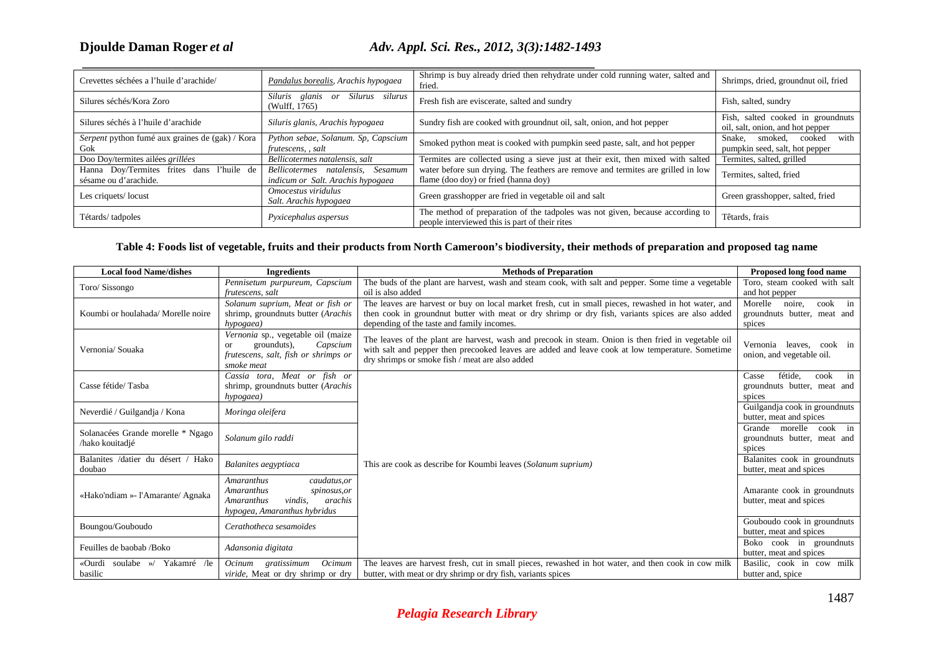# *et al Adv. Appl. Sci. Res., 2012, 3(3):1482-1493*

| Crevettes séchées a l'huile d'arachide/                            | Pandalus borealis, Arachis hypogaea                                       | Shrimp is buy already dried then rehydrate under cold running water, salted and<br>fried.                                       | Shrimps, dried, groundnut oil, fried                                  |
|--------------------------------------------------------------------|---------------------------------------------------------------------------|---------------------------------------------------------------------------------------------------------------------------------|-----------------------------------------------------------------------|
| Silures séchés/Kora Zoro                                           | Siluris glanis or<br>Silurus silurus<br>(Wulff, 1765)                     | Fresh fish are eviscerate, salted and sundry                                                                                    | Fish, salted, sundry                                                  |
| Silures séchés à l'huile d'arachide                                | Siluris glanis, Arachis hypogaea                                          | Sundry fish are cooked with groundnut oil, salt, onion, and hot pepper                                                          | Fish, salted cooked in groundnuts<br>oil, salt, onion, and hot pepper |
| Serpent python fumé aux graines de (gak) / Kora<br>Gok             | Python sebae, Solanum. Sp, Capscium<br>frutescens, , salt                 | Smoked python meat is cooked with pumpkin seed paste, salt, and hot pepper                                                      | with<br>Snake.<br>cooked<br>smoked.<br>pumpkin seed, salt, hot pepper |
| Doo Doy/termites ailées grillées                                   | Bellicotermes natalensis, salt                                            | Termites are collected using a sieve just at their exit, then mixed with salted                                                 | Termites, salted, grilled                                             |
| Hanna Doy/Termites frites dans l'huile de<br>sésame ou d'arachide. | Sesamum<br>Bellicotermes natalensis,<br>indicum or Salt. Arachis hypogaea | water before sun drying. The feathers are remove and termites are grilled in low<br>flame (doo doy) or fried (hanna doy)        | Termites, salted, fried                                               |
| Les criquets/locust                                                | Omocestus viridulus<br>Salt. Arachis hypogaea                             | Green grasshopper are fried in vegetable oil and salt                                                                           | Green grasshopper, salted, fried                                      |
| Tétards/tadpoles                                                   | Pyxicephalus aspersus                                                     | The method of preparation of the tadpoles was not given, because according to<br>people interviewed this is part of their rites | Têtards, frais                                                        |

## **Table 4: Foods list of vegetable, fruits and their products from North Cameroon's biodiversity, their methods of preparation and proposed tag name**

| <b>Local food Name/dishes</b>                        | <b>Ingredients</b>                                                                                                                  | <b>Methods of Preparation</b>                                                                                                                                                                                                                               | Proposed long food name                                                  |
|------------------------------------------------------|-------------------------------------------------------------------------------------------------------------------------------------|-------------------------------------------------------------------------------------------------------------------------------------------------------------------------------------------------------------------------------------------------------------|--------------------------------------------------------------------------|
| Toro/ Sissongo                                       | Pennisetum purpureum, Capscium<br>frutescens, salt                                                                                  | The buds of the plant are harvest, wash and steam cook, with salt and pepper. Some time a vegetable<br>oil is also added                                                                                                                                    | Toro, steam cooked with salt<br>and hot pepper                           |
| Koumbi or houlahada/ Morelle noire                   | Solanum suprium, Meat or fish or<br>shrimp, groundnuts butter (Arachis<br>hypogaea)                                                 | The leaves are harvest or buy on local market fresh, cut in small pieces, rewashed in hot water, and<br>then cook in groundnut butter with meat or dry shrimp or dry fish, variants spices are also added<br>depending of the taste and family incomes.     | Morelle<br>noire,<br>cook<br>in<br>groundnuts butter, meat and<br>spices |
| Vernonia/ Souaka                                     | Vernonia sp., vegetable oil (maize<br>grounduts),<br>Capscium<br>or<br>frutescens, salt, fish or shrimps or<br>smoke meat           | The leaves of the plant are harvest, wash and precook in steam. Onion is then fried in vegetable oil<br>with salt and pepper then precooked leaves are added and leave cook at low temperature. Sometime<br>dry shrimps or smoke fish / meat are also added | Vernonia leaves.<br>cook in<br>onion, and vegetable oil.                 |
| Casse fétide/Tasba                                   | Cassia tora, Meat or fish or<br>shrimp, groundnuts butter (Arachis<br>hypogaea)                                                     |                                                                                                                                                                                                                                                             | fétide,<br>cook<br>Casse<br>in<br>groundnuts butter, meat and<br>spices  |
| Neverdié / Guilgandja / Kona                         | Moringa oleifera                                                                                                                    |                                                                                                                                                                                                                                                             | Guilgandja cook in groundnuts<br>butter, meat and spices                 |
| Solanacées Grande morelle * Ngago<br>/hako kouitadjé | Solanum gilo raddi                                                                                                                  |                                                                                                                                                                                                                                                             | Grande morelle<br>$\cosh$ in<br>groundnuts butter, meat and<br>spices    |
| Balanites /datier du désert /<br>Hako<br>doubao      | Balanites aegyptiaca                                                                                                                | This are cook as describe for Koumbi leaves (Solanum suprium)                                                                                                                                                                                               | Balanites cook in groundnuts<br>butter, meat and spices                  |
| «Hako'ndiam »- l'Amarante/ Agnaka                    | caudatus, or<br>Amaranthus<br><b>Amaranthus</b><br>spinosus, or<br>vindis.<br>arachis<br>Amaranthus<br>hypogea, Amaranthus hybridus |                                                                                                                                                                                                                                                             | Amarante cook in groundnuts<br>butter, meat and spices                   |
| Boungou/Gouboudo                                     | Cerathotheca sesamoïdes                                                                                                             |                                                                                                                                                                                                                                                             | Gouboudo cook in groundnuts<br>butter, meat and spices                   |
| Feuilles de baobab /Boko                             | Adansonia digitata                                                                                                                  |                                                                                                                                                                                                                                                             | Boko cook in groundnuts<br>butter, meat and spices                       |
| Yakamré /le<br>«Ourdi<br>soulabe $\gg$ /<br>basilic  | Ocinum gratissimum<br>Ocimum<br>viride, Meat or dry shrimp or dry                                                                   | The leaves are harvest fresh, cut in small pieces, rewashed in hot water, and then cook in cow milk<br>butter, with meat or dry shrimp or dry fish, variants spices                                                                                         | Basilic, cook in cow milk<br>butter and, spice                           |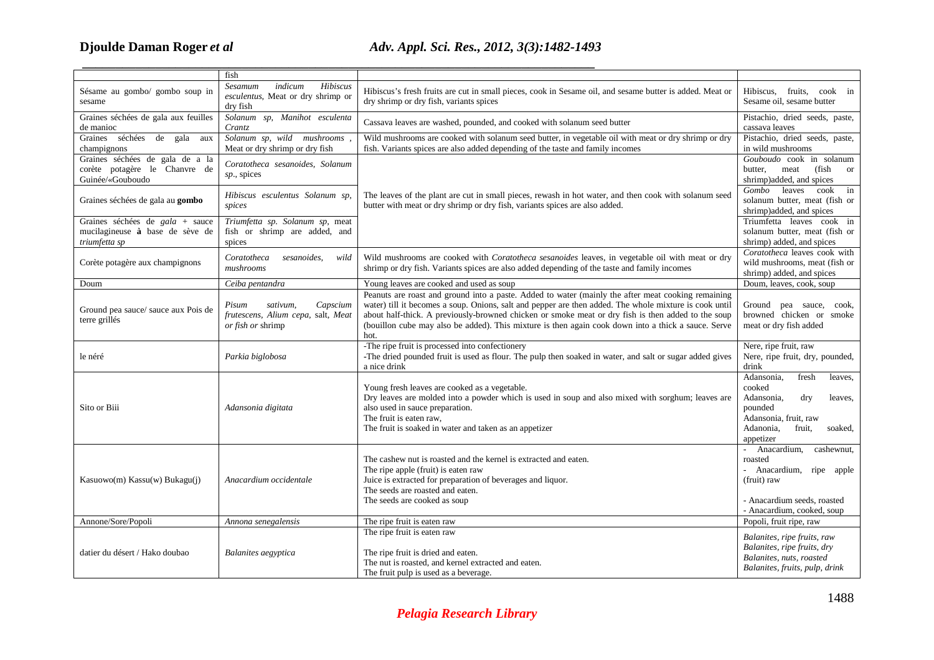# *et al Adv. Appl. Sci. Res., 2012, 3(3):1482-1493*

|                                                                                      | fish                                                                                     |                                                                                                                                                                                                                                                                                                                                                                                                                                   |                                                                                                                                                             |
|--------------------------------------------------------------------------------------|------------------------------------------------------------------------------------------|-----------------------------------------------------------------------------------------------------------------------------------------------------------------------------------------------------------------------------------------------------------------------------------------------------------------------------------------------------------------------------------------------------------------------------------|-------------------------------------------------------------------------------------------------------------------------------------------------------------|
| Sésame au gombo/ gombo soup in<br>sesame                                             | indicum<br>Hibiscus<br>Sesamum<br>esculentus, Meat or dry shrimp or<br>dry fish          | Hibiscus's fresh fruits are cut in small pieces, cook in Sesame oil, and sesame butter is added. Meat or<br>dry shrimp or dry fish, variants spices                                                                                                                                                                                                                                                                               | Hibiscus, fruits, cook in<br>Sesame oil, sesame butter                                                                                                      |
| Graines séchées de gala aux feuilles<br>de manioc                                    | Solanum sp, Manihot esculenta<br>Crantz                                                  | Cassava leaves are washed, pounded, and cooked with solanum seed butter                                                                                                                                                                                                                                                                                                                                                           | Pistachio, dried seeds, paste,<br>cassava leaves                                                                                                            |
| Graines séchées de gala aux<br>champignons                                           | Solanum sp, wild mushrooms,<br>Meat or dry shrimp or dry fish                            | Wild mushrooms are cooked with solanum seed butter, in vegetable oil with meat or dry shrimp or dry<br>fish. Variants spices are also added depending of the taste and family incomes                                                                                                                                                                                                                                             | Pistachio, dried seeds, paste,<br>in wild mushrooms                                                                                                         |
| Graines séchées de gala de a la<br>corète potagère le Chanvre de<br>Guinée/«Gouboudo | Coratotheca sesanoides, Solanum<br>sp., spices                                           |                                                                                                                                                                                                                                                                                                                                                                                                                                   | Gouboudo cook in solanum<br>(fish)<br>meat<br>butter,<br><sub>or</sub><br>shrimp)added, and spices                                                          |
| Graines séchées de gala au gombo                                                     | Hibiscus esculentus Solanum sp,<br>spices                                                | The leaves of the plant are cut in small pieces, rewash in hot water, and then cook with solanum seed<br>butter with meat or dry shrimp or dry fish, variants spices are also added.                                                                                                                                                                                                                                              | leaves<br>cook<br>Gombo<br>in<br>solanum butter, meat (fish or<br>shrimp)added, and spices                                                                  |
| Graines séchées de gala + sauce<br>mucilagineuse à base de sève de<br>triumfetta sp  | Triumfetta sp. Solanum sp, meat<br>fish or shrimp are added, and<br>spices               |                                                                                                                                                                                                                                                                                                                                                                                                                                   | Triumfetta leaves cook in<br>solanum butter, meat (fish or<br>shrimp) added, and spices                                                                     |
| Corète potagère aux champignons                                                      | Coratotheca<br>sesanoides,<br>wild<br>mushrooms                                          | Wild mushrooms are cooked with Coratotheca sesanoides leaves, in vegetable oil with meat or dry<br>shrimp or dry fish. Variants spices are also added depending of the taste and family incomes                                                                                                                                                                                                                                   | Coratotheca leaves cook with<br>wild mushrooms, meat (fish or<br>shrimp) added, and spices                                                                  |
| Doum                                                                                 | Ceiba pentandra                                                                          | Young leaves are cooked and used as soup                                                                                                                                                                                                                                                                                                                                                                                          | Doum, leaves, cook, soup                                                                                                                                    |
| Ground pea sauce/ sauce aux Pois de<br>terre grillés                                 | Capscium<br>Pisum<br>sativum.<br>frutescens, Alium cepa, salt, Meat<br>or fish or shrimp | Peanuts are roast and ground into a paste. Added to water (mainly the after meat cooking remaining<br>water) till it becomes a soup. Onions, salt and pepper are then added. The whole mixture is cook until<br>about half-thick. A previously-browned chicken or smoke meat or dry fish is then added to the soup<br>(bouillon cube may also be added). This mixture is then again cook down into a thick a sauce. Serve<br>hot. | Ground pea sauce, cook,<br>browned chicken or smoke<br>meat or dry fish added                                                                               |
| le néré                                                                              | Parkia biglobosa                                                                         | -The ripe fruit is processed into confectionery<br>-The dried pounded fruit is used as flour. The pulp then soaked in water, and salt or sugar added gives<br>a nice drink                                                                                                                                                                                                                                                        | Nere, ripe fruit, raw<br>Nere, ripe fruit, dry, pounded,<br>drink                                                                                           |
| Sito or Biii                                                                         | Adansonia digitata                                                                       | Young fresh leaves are cooked as a vegetable.<br>Dry leaves are molded into a powder which is used in soup and also mixed with sorghum; leaves are<br>also used in sauce preparation.<br>The fruit is eaten raw,<br>The fruit is soaked in water and taken as an appetizer                                                                                                                                                        | Adansonia,<br>fresh<br>leaves,<br>cooked<br>Adansonia,<br>dry<br>leaves,<br>pounded<br>Adansonia, fruit, raw<br>Adanonia,<br>fruit,<br>soaked,<br>appetizer |
| Kasuowo(m) Kassu(w) Bukagu(j)                                                        | Anacardium occidentale                                                                   | The cashew nut is roasted and the kernel is extracted and eaten.<br>The ripe apple (fruit) is eaten raw<br>Juice is extracted for preparation of beverages and liquor.<br>The seeds are roasted and eaten.<br>The seeds are cooked as soup                                                                                                                                                                                        | - Anacardium,<br>cashewnut,<br>roasted<br>- Anacardium, ripe apple<br>(fruit) raw<br>- Anacardium seeds, roasted<br>- Anacardium, cooked, soup              |
| Annone/Sore/Popoli                                                                   | Annona senegalensis                                                                      | The ripe fruit is eaten raw                                                                                                                                                                                                                                                                                                                                                                                                       | Popoli, fruit ripe, raw                                                                                                                                     |
| datier du désert / Hako doubao                                                       | <b>Balanites</b> aegyptica                                                               | The ripe fruit is eaten raw<br>The ripe fruit is dried and eaten.<br>The nut is roasted, and kernel extracted and eaten.<br>The fruit pulp is used as a beverage.                                                                                                                                                                                                                                                                 | Balanites, ripe fruits, raw<br>Balanites, ripe fruits, dry<br>Balanites, nuts, roasted<br>Balanites, fruits, pulp, drink                                    |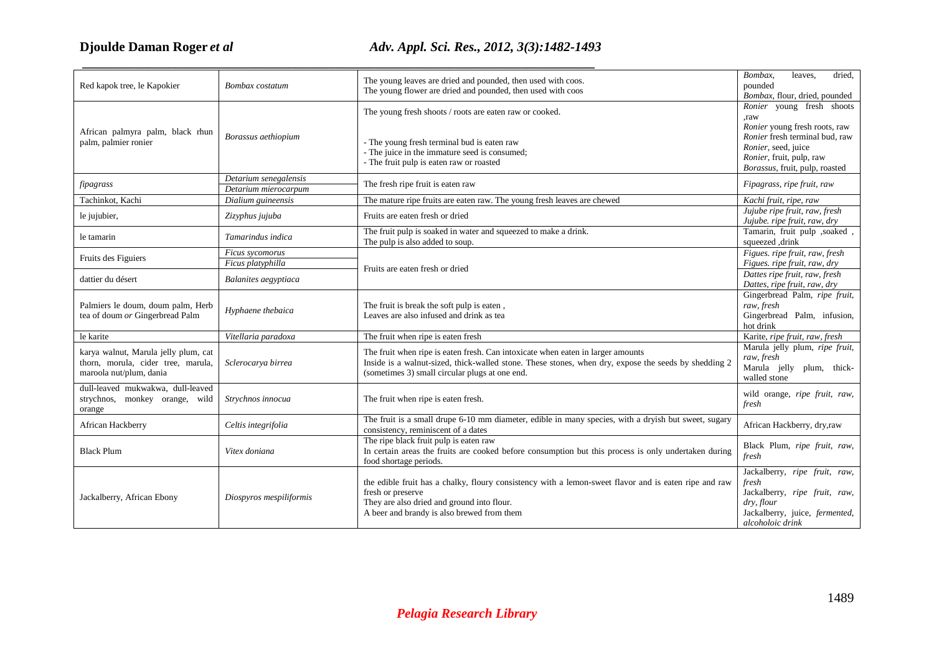# **Djoulde Daman Roger**

# *et al Adv. Appl. Sci. Res., 2012, 3(3):1482-1493*

 *\_\_\_\_\_\_\_\_\_\_\_\_\_\_\_\_\_\_\_\_\_\_\_\_\_\_\_\_\_\_\_\_\_\_\_\_\_\_\_\_\_\_\_\_\_\_\_\_\_\_\_\_\_\_\_\_\_\_\_\_\_\_\_\_\_\_\_\_\_\_\_\_\_\_\_\_\_*

| Red kapok tree, le Kapokier                                                                           | Bombax costatum                               | The young leaves are dried and pounded, then used with coos.<br>The young flower are dried and pounded, then used with coos                                                                                                               | Bombax,<br>leaves,<br>dried,<br>pounded<br>Bombax, flour, dried, pounded                                                                    |
|-------------------------------------------------------------------------------------------------------|-----------------------------------------------|-------------------------------------------------------------------------------------------------------------------------------------------------------------------------------------------------------------------------------------------|---------------------------------------------------------------------------------------------------------------------------------------------|
|                                                                                                       |                                               | The young fresh shoots / roots are eaten raw or cooked.                                                                                                                                                                                   | Ronier young fresh shoots<br>raw.<br>Ronier young fresh roots, raw                                                                          |
| African palmyra palm, black rhun<br>palm, palmier ronier                                              | Borassus aethiopium                           | - The young fresh terminal bud is eaten raw<br>- The juice in the immature seed is consumed;<br>- The fruit pulp is eaten raw or roasted                                                                                                  | Ronier fresh terminal bud, raw<br>Ronier, seed, juice<br>Ronier, fruit, pulp, raw<br>Borassus, fruit, pulp, roasted                         |
| fipagrass                                                                                             | Detarium senegalensis<br>Detarium mierocarpum | The fresh ripe fruit is eaten raw                                                                                                                                                                                                         | Fipagrass, ripe fruit, raw                                                                                                                  |
| Tachinkot, Kachi                                                                                      | Dialium guineensis                            | The mature ripe fruits are eaten raw. The young fresh leaves are chewed                                                                                                                                                                   | Kachi fruit, ripe, raw                                                                                                                      |
| le jujubier,                                                                                          | Zizyphus jujuba                               | Fruits are eaten fresh or dried                                                                                                                                                                                                           | Jujube ripe fruit, raw, fresh<br>Jujube. ripe fruit, raw, dry                                                                               |
| le tamarin                                                                                            | Tamarindus indica                             | The fruit pulp is soaked in water and squeezed to make a drink.<br>The pulp is also added to soup.                                                                                                                                        | Tamarin, fruit pulp ,soaked,<br>squeezed ,drink                                                                                             |
| Fruits des Figuiers                                                                                   | Ficus sycomorus<br>Ficus platyphilla          | Fruits are eaten fresh or dried                                                                                                                                                                                                           | Figues. ripe fruit, raw, fresh<br>Figues. ripe fruit, raw, dry                                                                              |
| dattier du désert                                                                                     | Balanites aegyptiaca                          |                                                                                                                                                                                                                                           | Dattes ripe fruit, raw, fresh<br>Dattes, ripe fruit, raw, dry                                                                               |
| Palmiers le doum, doum palm, Herb<br>tea of doum or Gingerbread Palm                                  | Hyphaene thebaica                             | The fruit is break the soft pulp is eaten,<br>Leaves are also infused and drink as tea                                                                                                                                                    | Gingerbread Palm, ripe fruit,<br>raw, fresh<br>Gingerbread Palm, infusion,<br>hot drink                                                     |
| le karite                                                                                             | Vitellaria paradoxa                           | The fruit when ripe is eaten fresh                                                                                                                                                                                                        | Karite, ripe fruit, raw, fresh                                                                                                              |
| karya walnut, Marula jelly plum, cat<br>thorn, morula, cider tree, marula,<br>maroola nut/plum, dania | Sclerocarya birrea                            | The fruit when ripe is eaten fresh. Can intoxicate when eaten in larger amounts<br>Inside is a walnut-sized, thick-walled stone. These stones, when dry, expose the seeds by shedding 2<br>(sometimes 3) small circular plugs at one end. | Marula jelly plum, ripe fruit,<br>raw, fresh<br>Marula jelly plum, thick-<br>walled stone                                                   |
| dull-leaved mukwakwa, dull-leaved<br>strychnos, monkey orange, wild<br>orange                         | Strychnos innocua                             | The fruit when ripe is eaten fresh.                                                                                                                                                                                                       | wild orange, ripe fruit, raw,<br>fresh                                                                                                      |
| African Hackberry                                                                                     | Celtis integrifolia                           | The fruit is a small drupe 6-10 mm diameter, edible in many species, with a dryish but sweet, sugary<br>consistency, reminiscent of a dates                                                                                               | African Hackberry, dry,raw                                                                                                                  |
| <b>Black Plum</b>                                                                                     | Vitex doniana                                 | The ripe black fruit pulp is eaten raw<br>In certain areas the fruits are cooked before consumption but this process is only undertaken during<br>food shortage periods.                                                                  | Black Plum, ripe fruit, raw,<br>fresh                                                                                                       |
| Jackalberry, African Ebony                                                                            | Diospyros mespiliformis                       | the edible fruit has a chalky, floury consistency with a lemon-sweet flavor and is eaten ripe and raw<br>fresh or preserve<br>They are also dried and ground into flour.<br>A beer and brandy is also brewed from them                    | Jackalberry, ripe fruit, raw,<br>fresh<br>Jackalberry, ripe fruit, raw,<br>dry, flour<br>Jackalberry, juice, fermented,<br>alcoholoic drink |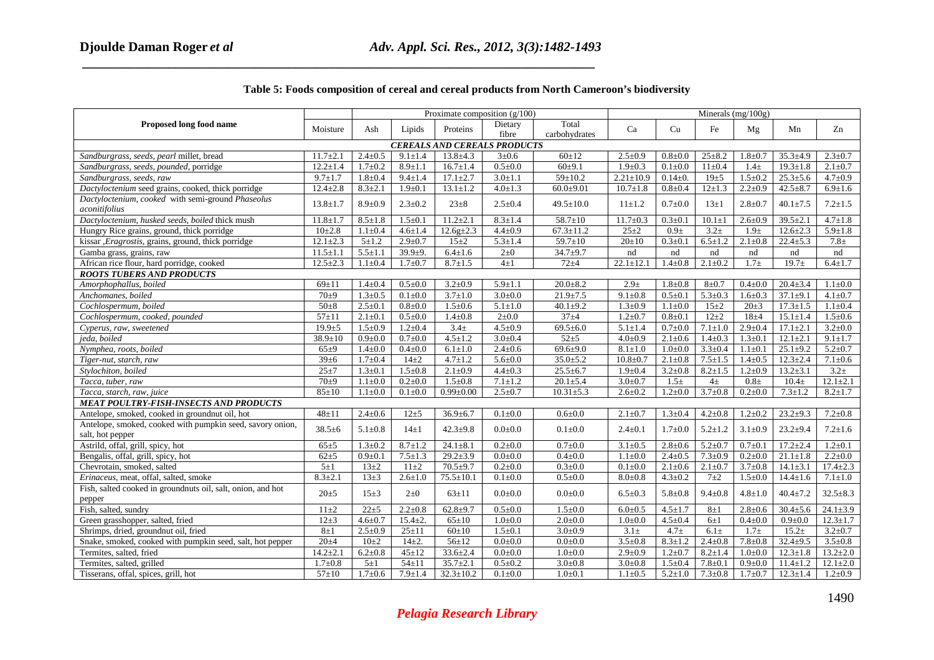|                                                             |                | Proximate composition $(g/100)$ |               |                 |               |                 |                  | Minerals $(mg/100g)$ |               |               |                   |                |  |
|-------------------------------------------------------------|----------------|---------------------------------|---------------|-----------------|---------------|-----------------|------------------|----------------------|---------------|---------------|-------------------|----------------|--|
| Proposed long food name                                     | Moisture       | Ash                             | Lipids        | Proteins        | Dietary       | Total           | Ca               | Cu                   | Fe            | Mg            | Mn                | Zn             |  |
|                                                             |                |                                 |               |                 | fibre         | carbohydrates   |                  |                      |               |               |                   |                |  |
| <b>CEREALS AND CEREALS PRODUCTS</b>                         |                |                                 |               |                 |               |                 |                  |                      |               |               |                   |                |  |
| Sandburgrass, seeds, pearl millet, bread                    | $11.7 \pm 2.1$ | $2.4 \pm 0.5$                   | $9.1 \pm 1.4$ | $13.8 \pm 4.3$  | $3 + 0.6$     | $60 \pm 12$     | $2.5 \pm 0.9$    | $0.8 + 0.0$          | $25 \pm 8.2$  | $1.8 \pm 0.7$ | $35.3 \pm 4.9$    | $2.3 \pm 0.7$  |  |
| Sandburgrass, seeds, pounded, porridge                      | $12.2 \pm 1.4$ | $1.7 \pm 0.2$                   | $8.9 \pm 1.1$ | $16.7 \pm 1.4$  | $0.5 \pm 0.0$ | 60±9.1          | $1.9 \pm 0.3$    | $0.1 \pm 0.0$        | $11\pm0.4$    | $1.4\pm$      | $19.3 \pm 1.8$    | $2.1 \pm 0.7$  |  |
| Sandburgrass, seeds, raw                                    | $9.7 \pm 1.7$  | $1.8 + 0.4$                     | $9.4 \pm 1.4$ | $17.1 \pm 2.7$  | $3.0 \pm 1.1$ | $59 \pm 10.2$   | $2.21 \pm 10.9$  | $0.14 \pm 0.$        | $19+5$        | $1.5 \pm 0.2$ | $25.3 \pm 5.6$    | $4.7 \pm 0.9$  |  |
| Dactyloctenium seed grains, cooked, thick porridge          | $12.4 \pm 2.8$ | $8.3 \pm 2.1$                   | $1.9 + 0.1$   | $13.1 \pm 1.2$  | $4.0 \pm 1.3$ | $60.0 + 9.01$   | $10.7 \pm 1.8$   | $0.8 + 0.4$          | $12 \pm 1.3$  | $2.2 \pm 0.9$ | $42.5 \pm 8.7$    | $6.9 \pm 1.6$  |  |
| Dactyloctenium, cooked with semi-ground Phaseolus           | $13.8 \pm 1.7$ | $8.9 \pm 0.9$                   | $2.3 \pm 0.2$ | $23 \pm 8$      | $2.5 \pm 0.4$ | $49.5 \pm 10.0$ | $11 \pm 1.2$     | $0.7 + 0.0$          | $13\pm1$      | $2.8 + 0.7$   | $40.1 \pm 7.5$    | $7.2 \pm 1.5$  |  |
| aconitifolius                                               |                |                                 |               |                 |               |                 |                  |                      |               |               |                   |                |  |
| Dactyloctenium, husked seeds, boiled thick mush             | $11.8 \pm 1.7$ | $8.5 \pm 1.8$                   | $1.5 \pm 0.1$ | $11.2 \pm 2.1$  | $8.3 \pm 1.4$ | $58.7 \pm 10$   | $11.7 \pm 0.3$   | $0.3 \pm 0.1$        | $10.1 \pm 1$  | $2.6 \pm 0.9$ | $39.5 \pm 2.1$    | $4.7 \pm 1.8$  |  |
| Hungry Rice grains, ground, thick porridge                  | $10 \pm 2.8$   | $1.1 \pm 0.4$                   | $4.6 \pm 1.4$ | $12.6g{\pm}2.3$ | $4.4 \pm 0.9$ | $67.3 \pm 11.2$ | $25 \pm 2$       | $0.9\pm$             | $3.2 +$       | $1.9\pm$      | $12.6 \pm 2.3$    | $5.9 \pm 1.8$  |  |
| kissar , Eragrostis, grains, ground, thick porridge         | $12.1 \pm 2.3$ | $5 + 1.2$                       | $2.9 \pm 0.7$ | $15 \pm 2$      | $5.3 \pm 1.4$ | $59.7 \pm 10$   | $20 \pm 10$      | $0.3 \pm 0.1$        | $6.5 \pm 1.2$ | $2.1 \pm 0.8$ | $22.4 \pm 5.3$    | $7.8 \pm$      |  |
| Gamba grass, grains, raw                                    | $11.5 \pm 1.1$ | $5.5 \pm 1.1$                   | $39.9 + 9.$   | $6.4 \pm 1.6$   | $2\pm 0$      | $34.7 + 9.7$    | nd               | nd                   | nd            | nd            | nd                | nd             |  |
| African rice flour, hard porridge, cooked                   | $12.5 \pm 2.3$ | $1.1 \pm 0.4$                   | $1.7 + 0.7$   | $8.7 \pm 1.5$   | $4\pm1$       | $72 + 4$        | $22.1 \pm 12.1$  | $1.4 \pm 0.8$        | $2.1 \pm 0.2$ | $1.7\pm$      | $19.7 +$          | $6.4 \pm 1.7$  |  |
| <b>ROOTS TUBERS AND PRODUCTS</b>                            |                |                                 |               |                 |               |                 |                  |                      |               |               |                   |                |  |
| Amorphophallus, boiled                                      | $69 \pm 11$    | $1.4 \pm 0.4$                   | $0.5 \pm 0.0$ | $3.2 \pm 0.9$   | $5.9 \pm 1.1$ | $20.0 + 8.2$    | 2.9 <sub>±</sub> | $1.8 + 0.8$          | $8 + 0.7$     | $0.4 \pm 0.0$ | $20.4 \pm 3.4$    | $1.1 \pm 0.0$  |  |
| Anchomanes, boiled                                          | $70+9$         | $1.3 \pm 0.5$                   | $0.1 + 0.0$   | $3.7 \pm 1.0$   | $3.0+0.0$     | $21.9 \pm 7.5$  | $9.1 \pm 0.8$    | $0.5 + 0.1$          | $5.3 \pm 0.3$ | $1.6 + 0.3$   | $37.1 \pm 9.1$    | $4.1 \pm 0.7$  |  |
| Cochlospermum, boiled                                       | $50\pm8$       | $2.5 \pm 0.1$                   | $0.8 + 0.0$   | $1.5 \pm 0.6$   | $5.1 \pm 1.0$ | $40.1 \pm 9.2$  | $1.3 \pm 0.9$    | $1.1 \pm 0.0$        | $15\pm2$      | $20 \pm 3$    | $17.3 \pm 1.5$    | $1.1 \pm 0.4$  |  |
| Cochlospermum, cooked, pounded                              | $57 + 11$      | $2.1 \pm 0.1$                   | $0.5 \pm 0.0$ | $1.4 \pm 0.8$   | $2 \pm 0.0$   | $37 + 4$        | $1.2 \pm 0.7$    | $0.8 + 0.1$          | $12 + 2$      | $18\pm4$      | $15.1 \pm 1.4$    | $1.5 \pm 0.6$  |  |
| Cyperus, raw, sweetened                                     | $19.9 + 5$     | $1.5 \pm 0.9$                   | $1.2 \pm 0.4$ | $3.4 +$         | $4.5 \pm 0.9$ | $69.5 \pm 6.0$  | $5.1 \pm 1.4$    | $0.7 + 0.0$          | $7.1 + 1.0$   | $2.9 \pm 0.4$ | $17.1 \pm 2.1$    | $3.2 \pm 0.0$  |  |
| jeda, boiled                                                | $38.9 \pm 10$  | $0.9 + 0.0$                     | $0.7 + 0.0$   | $4.5 \pm 1.2$   | $3.0 + 0.4$   | $52 + 5$        | $4.0 + 0.9$      | $2.1 \pm 0.6$        | $1.4 \pm 0.3$ | $1.3 \pm 0.1$ | $12.1 \pm 2.1$    | $9.1 \pm 1.7$  |  |
| Nymphea, roots, boiled                                      | $65 + 9$       | $1.4 \pm 0.0$                   | $0.4 \pm 0.0$ | $6.1 \pm 1.0$   | $2.4 \pm 0.6$ | $69.6{\pm}9.0$  | $8.1 \pm 1.0$    | $1.0 + 0.0$          | $3.3 \pm 0.4$ | $1.1 \pm 0.1$ | $25.1 \pm 9.2$    | $5.2 \pm 0.7$  |  |
| Tiger-nut, starch, raw                                      | $39 \pm 6$     | $1.7 + 0.4$                     | $14\pm 2$     | $4.7 \pm 1.2$   | $5.6 + 0.0$   | $35.0{\pm}5.2$  | $10.8 + 0.7$     | $2.1 \pm 0.8$        | $7.5 \pm 1.5$ | $1.4 \pm 0.5$ | $12.3 \pm 2.4$    | $7.1 \pm 0.6$  |  |
| Stylochiton, boiled                                         | $25 + 7$       | $1.3 \pm 0.1$                   | $1.5 \pm 0.8$ | $2.1 \pm 0.9$   | $4.4 \pm 0.3$ | $25.5 \pm 6.7$  | $1.9 \pm 0.4$    | $3.2 \pm 0.8$        | $8.2 \pm 1.5$ | $1.2 \pm 0.9$ | $13.2 \pm 3.1$    | $3.2+$         |  |
| Tacca, tuber, raw                                           | $70 + 9$       | $1.1 \pm 0.0$                   | $0.2 \pm 0.0$ | $1.5 \pm 0.8$   | $7.1 \pm 1.2$ | $20.1 \pm 5.4$  | $3.0 \pm 0.7$    | $1.5\pm$             | $4\pm$        | $0.8\pm$      | 10.4 <sub>±</sub> | $12.1 \pm 2.1$ |  |
| Tacca, starch, raw, juice                                   | $85 \pm 10$    | $1.1 \pm 0.0$                   | $0.1 + 0.0$   | $0.99 \pm 0.00$ | $2.5 \pm 0.7$ | $10.31 + 5.3$   | $2.6 \pm 0.2$    | $1.2 \pm 0.0$        | $3.7 \pm 0.8$ | $0.2 \pm 0.0$ | $7.3 \pm 1.2$     | $8.2 \pm 1.7$  |  |
| <b>MEAT POULTRY-FISH-INSECTS AND PRODUCTS</b>               |                |                                 |               |                 |               |                 |                  |                      |               |               |                   |                |  |
| Antelope, smoked, cooked in groundnut oil, hot              | $48\pm11$      | $2.4 \pm 0.6$                   | $12 + 5$      | $36.9 \pm 6.7$  | $0.1 + 0.0$   | $0.6 + 0.0$     | $2.1 \pm 0.7$    | $1.3 + 0.4$          | $4.2 \pm 0.8$ | $1.2 \pm 0.2$ | $23.2 + 9.3$      | $7.2 \pm 0.8$  |  |
| Antelope, smoked, cooked with pumpkin seed, savory onion,   | $38.5 + 6$     | $5.1 \pm 0.8$                   | $14\pm1$      | $42.3 + 9.8$    | $0.0 + 0.0$   | $0.1 + 0.0$     | $2.4 \pm 0.1$    | $1.7 + 0.0$          | $5.2 \pm 1.2$ | $3.1 \pm 0.9$ | $23.2 + 9.4$      | $7.2 \pm 1.6$  |  |
| salt, hot pepper                                            |                |                                 |               |                 |               |                 |                  |                      |               |               |                   |                |  |
| Astrild, offal, grill, spicy, hot                           | $65 + 5$       | $1.3 \pm 0.2$                   | $8.7 \pm 1.2$ | $24.1 \pm 8.1$  | $0.2 \pm 0.0$ | $0.7 + 0.0$     | $3.1 \pm 0.5$    | $2.8 \pm 0.6$        | $5.2 \pm 0.7$ | $0.7 \pm 0.1$ | $17.2 \pm 2.4$    | $1.2 \pm 0.1$  |  |
| Bengalis, offal, grill, spicy, hot                          | $62 + 5$       | $0.9 + 0.1$                     | $7.5 \pm 1.3$ | $29.2 \pm 3.9$  | $0.0 + 0.0$   | $0.4 \pm 0.0$   | $1.1 \pm 0.0$    | $2.4 \pm 0.5$        | $7.3 \pm 0.9$ | $0.2 \pm 0.0$ | $21.1 \pm 1.8$    | $2.2 \pm 0.0$  |  |
| Chevrotain, smoked, salted                                  | $5\pm1$        | $13\pm2$                        | $11\pm 2$     | $70.5 \pm 9.7$  | $0.2 \pm 0.0$ | $0.3 + 0.0$     | $0.1 \pm 0.0$    | $2.1 \pm 0.6$        | $2.1 \pm 0.7$ | $3.7 \pm 0.8$ | $14.1 \pm 3.1$    | $17.4 \pm 2.3$ |  |
| Erinaceus, meat, offal, salted, smoke                       | $8.3 \pm 2.1$  | $13 + 3$                        | $2.6 \pm 1.0$ | $75.5 \pm 10.1$ | $0.1 + 0.0$   | $0.5 \pm 0.0$   | $8.0 + 0.8$      | $4.3 \pm 0.2$        | $7\pm2$       | $1.5 \pm 0.0$ | $14.4 \pm 1.6$    | $7.1 \pm 1.0$  |  |
| Fish, salted cooked in groundnuts oil, salt, onion, and hot | $20 + 5$       | $15 + 3$                        | $2\pm0$       | $63 \pm 11$     | $0.0 + 0.0$   | $0.0 + 0.0$     | $6.5 \pm 0.3$    | $5.8 + 0.8$          | $9.4 \pm 0.8$ | $4.8 + 1.0$   | $40.4 \pm 7.2$    | $32.5 \pm 8.3$ |  |
| pepper                                                      |                |                                 |               |                 |               |                 |                  |                      |               |               |                   |                |  |
| Fish, salted, sundry                                        | $11\pm2$       | $22 + 5$                        | $2.2 \pm 0.8$ | $62.8 + 9.7$    | $0.5 + 0.0$   | $1.5 \pm 0.0$   | $6.0 + 0.5$      | $4.5 \pm 1.7$        | $8\pm1$       | $2.8 + 0.6$   | $30.4{\pm}5.6$    | $24.1 \pm 3.9$ |  |
| Green grasshopper, salted, fried                            | $12+3$         | $4.6 \pm 0.7$                   | $15.4 \pm 2.$ | $65 \pm 10$     | $1.0 + 0.0$   | $2.0 \pm 0.0$   | $1.0 + 0.0$      | $4.5 \pm 0.4$        | 6±1           | $0.4 \pm 0.0$ | $0.9 + 0.0$       | $12.3 \pm 1.7$ |  |
| Shrimps, dried, groundnut oil, fried                        | $8\pm1$        | $2.5 \pm 0.9$                   | $25 \pm 11$   | $60 \pm 10$     | $1.5 \pm 0.1$ | $3.0 + 0.9$     | $3.1\pm$         | $4.7 \pm$            | $6.1\pm$      | $1.7\pm$      | $15.2 \pm$        | $3.2 \pm 0.7$  |  |
| Snake, smoked, cooked with pumpkin seed, salt, hot pepper   | $20 + 4$       | $10\pm 2$                       | $14\pm 2.$    | $56 \pm 12$     | $0.0 + 0.0$   | $0.0 \pm 0.0$   | $3.5 \pm 0.8$    | $8.3 \pm 1.2$        | $2.4 \pm 0.8$ | $7.8 + 0.8$   | $32.4 \pm 9.5$    | $3.5 \pm 0.8$  |  |
| Termites, salted, fried                                     | $14.2 \pm 2.1$ | $6.2 \pm 0.8$                   | $45 \pm 12$   | $33.6 \pm 2.4$  | $0.0 + 0.0$   | $1.0 + 0.0$     | $2.9 + 0.9$      | $1.2 + 0.7$          | $8.2 \pm 1.4$ | $1.0 + 0.0$   | $12.3 \pm 1.8$    | $13.2 \pm 2.0$ |  |
| Termites, salted, grilled                                   | $1.7 + 0.8$    | $5\pm1$                         | $54 \pm 11$   | $35.7 \pm 2.1$  | $0.5 \pm 0.2$ | $3.0 + 0.8$     | $3.0 + 0.8$      | $1.5 \pm 0.4$        | $7.8 \pm 0.1$ | $0.9 + 0.0$   | $11.4 \pm 1.2$    | $12.1 \pm 2.0$ |  |
| Tisserans, offal, spices, grill, hot                        | $57 + 10$      | $1.7 + 0.6$                     | $7.9 \pm 1.4$ | $32.3 \pm 10.2$ | $0.1 \pm 0.0$ | $1.0 + 0.1$     | $1.1 \pm 0.5$    | $5.2 \pm 1.0$        | $7.3 \pm 0.8$ | $1.7 \pm 0.7$ | $12.3 \pm 1.4$    | $1.2 \pm 0.9$  |  |

## **Table 5: Foods composition of cereal and cereal products from North Cameroon's biodiversity**

 *\_\_\_\_\_\_\_\_\_\_\_\_\_\_\_\_\_\_\_\_\_\_\_\_\_\_\_\_\_\_\_\_\_\_\_\_\_\_\_\_\_\_\_\_\_\_\_\_\_\_\_\_\_\_\_\_\_\_\_\_\_\_\_\_\_\_\_\_\_\_\_\_\_\_\_\_\_*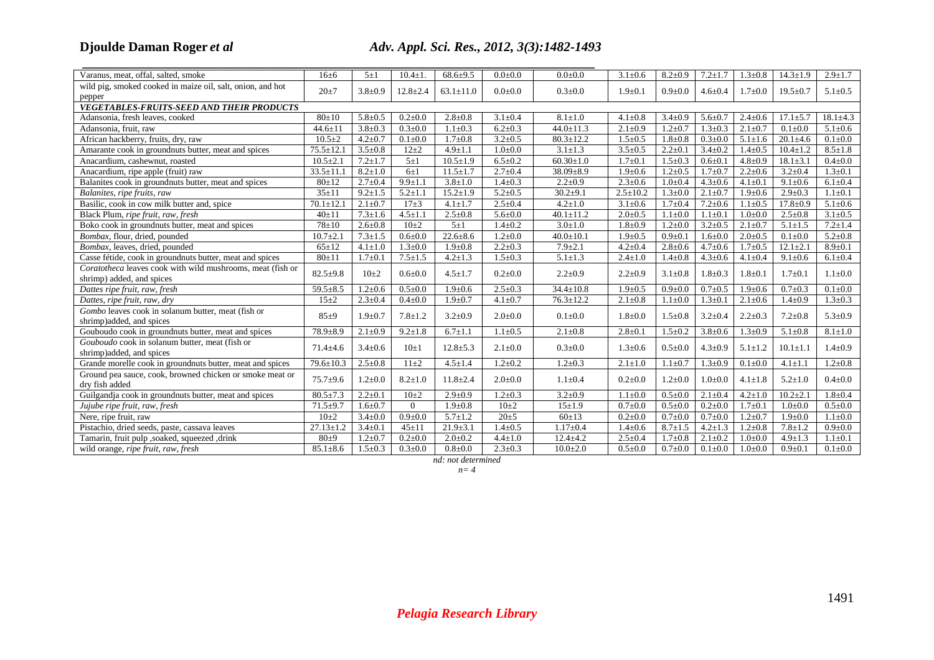# **Djoulde Daman Roger**

# *et al Adv. Appl. Sci. Res., 2012, 3(3):1482-1493*

| Varanus, meat, offal, salted, smoke                        | $16 + 6$        | $5\pm1$       | $10.4 + 1$     | $68.6+9.5$      | $0.0 + 0.0$   | $0.0 + 0.0$     | $3.1 \pm 0.6$  | $8.2 \pm 0.9$ | $7.2 + 1.7$   | $1.3 \pm 0.8$ | $14.3 \pm 1.9$ | $2.9 \pm 1.7$  |
|------------------------------------------------------------|-----------------|---------------|----------------|-----------------|---------------|-----------------|----------------|---------------|---------------|---------------|----------------|----------------|
| wild pig, smoked cooked in maize oil, salt, onion, and hot | $20+7$          | $3.8 \pm 0.9$ | $12.8 \pm 2.4$ | $63.1 \pm 11.0$ | $0.0 + 0.0$   | $0.3 \pm 0.0$   | $1.9 + 0.1$    | $0.9 + 0.0$   | $4.6 + 0.4$   | $1.7 + 0.0$   | $19.5 \pm 0.7$ | $5.1 \pm 0.5$  |
| pepper                                                     |                 |               |                |                 |               |                 |                |               |               |               |                |                |
| <b>VEGETABLES-FRUITS-SEED AND THEIR PRODUCTS</b>           |                 |               |                |                 |               |                 |                |               |               |               |                |                |
| Adansonia, fresh leaves, cooked                            | $80+10$         | $5.8 + 0.5$   | $0.2 + 0.0$    | $2.8 \pm 0.8$   | $3.1 \pm 0.4$ | $8.1 \pm 1.0$   | $4.1 \pm 0.8$  | $3.4 \pm 0.9$ | $5.6 \pm 0.7$ | $2.4 \pm 0.6$ | $17.1 \pm 5.7$ | $18.1 \pm 4.3$ |
| Adansonia, fruit, raw                                      | $44.6 \pm 11$   | $3.8 \pm 0.3$ | $0.3 + 0.0$    | $1.1 \pm 0.3$   | $6.2 \pm 0.3$ | $44.0 \pm 11.3$ | $2.1 \pm 0.9$  | $1.2 + 0.7$   | $1.3 \pm 0.3$ | $2.1 \pm 0.7$ | $0.1 + 0.0$    | $5.1 \pm 0.6$  |
| African hackberry, fruits, dry, raw                        | $10.5 \pm 2$    | $4.2 \pm 0.7$ | $0.1 + 0.0$    | $1.7 \pm 0.8$   | $3.2 \pm 0.5$ | $80.3 \pm 12.2$ | $1.5 \pm 0.5$  | $1.8 + 0.8$   | $0.3 \pm 0.0$ | $5.1 \pm 1.6$ | $20.1 \pm 4.6$ | $0.1 + 0.0$    |
| Amarante cook in groundnuts butter, meat and spices        | $75.5 \pm 12.1$ | $3.5 \pm 0.8$ | $12 + 2$       | $4.9 \pm 1.1$   | $1.0 + 0.0$   | $3.1 \pm 1.3$   | $3.5 \pm 0.5$  | $2.2 \pm 0.1$ | $3.4 \pm 0.2$ | $1.4 \pm 0.5$ | $10.4 \pm 1.2$ | $8.5 \pm 1.8$  |
| Anacardium, cashewnut, roasted                             | $10.5 \pm 2.1$  | $7.2 + 1.7$   | $5 \pm 1$      | $10.5 \pm 1.9$  | $6.5 \pm 0.2$ | $60.30 \pm 1.0$ | $1.7 + 0.1$    | $1.5 \pm 0.3$ | $0.6 + 0.1$   | $4.8 \pm 0.9$ | $18.1 \pm 3.1$ | $0.4 \pm 0.0$  |
| Anacardium, ripe apple (fruit) raw                         | $33.5 \pm 11.1$ | $8.2 \pm 1.0$ | $6\pm1$        | $11.5 \pm 1.7$  | $2.7 \pm 0.4$ | 38.09±8.9       | $1.9 \pm 0.6$  | $1.2 \pm 0.5$ | $1.7 + 0.7$   | $2.2 \pm 0.6$ | $3.2 \pm 0.4$  | $1.3 \pm 0.1$  |
| Balanites cook in groundnuts butter, meat and spices       | $80+12$         | $2.7 \pm 0.4$ | $9.9 \pm 1.1$  | $3.8 \pm 1.0$   | $1.4 + 0.3$   | $2.2 \pm 0.9$   | $2.3 \pm 0.6$  | $1.0 + 0.4$   | $4.3 \pm 0.6$ | $4.1 \pm 0.1$ | $9.1 \pm 0.6$  | $6.1 \pm 0.4$  |
| Balanites, ripe fruits, raw                                | $35 \pm 11$     | $9.2 \pm 1.5$ | $5.2 \pm 1.1$  | $15.2 \pm 1.9$  | $5.2 \pm 0.5$ | $30.2{\pm}9.1$  | $2.5 \pm 10.2$ | $1.3 + 0.0$   | $2.1 \pm 0.7$ | $1.9 + 0.6$   | $2.9 \pm 0.3$  | $1.1 \pm 0.1$  |
| Basilic, cook in cow milk butter and, spice                | $70.1 \pm 12.1$ | $2.1 \pm 0.7$ | $17\pm3$       | $4.1 \pm 1.7$   | $2.5 \pm 0.4$ | $4.2 \pm 1.0$   | $3.1 \pm 0.6$  | $1.7 + 0.4$   | $7.2 \pm 0.6$ | $1.1 \pm 0.5$ | $17.8 \pm 0.9$ | $5.1 \pm 0.6$  |
| Black Plum, ripe fruit, raw, fresh                         | $40+11$         | $7.3 \pm 1.6$ | $4.5 \pm 1.1$  | $2.5 \pm 0.8$   | $5.6 \pm 0.0$ | $40.1 \pm 11.2$ | $2.0 \pm 0.5$  | $1.1 \pm 0.0$ | $1.1 \pm 0.1$ | $1.0 + 0.0$   | $2.5 \pm 0.8$  | $3.1 \pm 0.5$  |
| Boko cook in groundnuts butter, meat and spices            | $78 + 10$       | $2.6 \pm 0.8$ | $10\pm2$       | $5 \pm 1$       | $1.4 + 0.2$   | $3.0 \pm 1.0$   | $1.8 + 0.9$    | $1.2 \pm 0.0$ | $3.2 \pm 0.5$ | $2.1 \pm 0.7$ | $5.1 \pm 1.5$  | $7.2 + 1.4$    |
| Bombax, flour, dried, pounded                              | $10.7 \pm 2.1$  | $7.3 \pm 1.5$ | $0.6 + 0.0$    | $22.6 \pm 8.6$  | $1.2 \pm 0.0$ | $40.0 \pm 10.1$ | $1.9 + 0.5$    | $0.9 + 0.1$   | $1.6 + 0.0$   | $2.0 \pm 0.5$ | $0.1 \pm 0.0$  | $5.2 \pm 0.8$  |
| Bombax, leaves, dried, pounded                             | $65 + 12$       | $4.1 \pm 1.0$ | $1.3 \pm 0.0$  | $1.9 \pm 0.8$   | $2.2 \pm 0.3$ | $7.9 \pm 2.1$   | $4.2 \pm 0.4$  | $2.8 + 0.6$   | $4.7 + 0.6$   | $1.7 \pm 0.5$ | $12.1 \pm 2.1$ | $8.9 \pm 0.1$  |
| Casse fétide, cook in groundnuts butter, meat and spices   | $80 + 11$       | $1.7 \pm 0.1$ | $7.5 \pm 1.5$  | $4.2 \pm 1.3$   | $1.5 \pm 0.3$ | $5.1 \pm 1.3$   | $2.4 \pm 1.0$  | $1.4 \pm 0.8$ | $4.3 \pm 0.6$ | $4.1 \pm 0.4$ | $9.1 \pm 0.6$  | $6.1 \pm 0.4$  |
| Coratotheca leaves cook with wild mushrooms, meat (fish or | $82.5 + 9.8$    | $10\pm 2$     | $0.6 + 0.0$    |                 | $0.2 \pm 0.0$ | $2.2 \pm 0.9$   | $2.2 \pm 0.9$  | $3.1 \pm 0.8$ | $1.8 + 0.3$   |               |                |                |
| shrimp) added, and spices                                  |                 |               |                | $4.5 \pm 1.7$   |               |                 |                |               |               | $1.8 + 0.1$   | $1.7 \pm 0.1$  | $1.1 \pm 0.0$  |
| Dattes ripe fruit, raw, fresh                              | $59.5 + 8.5$    | $1.2 \pm 0.6$ | $0.5 + 0.0$    | $1.9 + 0.6$     | $2.5 \pm 0.3$ | $34.4 \pm 10.8$ | $1.9 \pm 0.5$  | $0.9 + 0.0$   | $0.7 \pm 0.5$ | $1.9 + 0.6$   | $0.7 + 0.3$    | $0.1 \pm 0.0$  |
| Dattes, ripe fruit, raw, dry                               | $15 + 2$        | $2.3 \pm 0.4$ | $0.4 \pm 0.0$  | $1.9 + 0.7$     | $4.1 \pm 0.7$ | $76.3 \pm 12.2$ | $2.1 \pm 0.8$  | $1.1 \pm 0.0$ | $1.3 \pm 0.1$ | $2.1 \pm 0.6$ | $1.4 \pm 0.9$  | $1.3 \pm 0.3$  |
| Gombo leaves cook in solanum butter, meat (fish or         | $85 + 9$        | $1.9 + 0.7$   | $7.8 + 1.2$    | $3.2 \pm 0.9$   | $2.0 + 0.0$   | $0.1 + 0.0$     | $1.8 + 0.0$    | $1.5 \pm 0.8$ | $3.2 \pm 0.4$ | $2.2 \pm 0.3$ | $7.2 \pm 0.8$  | $5.3 \pm 0.9$  |
| shrimp)added, and spices                                   |                 |               |                |                 |               |                 |                |               |               |               |                |                |
| Gouboudo cook in groundnuts butter, meat and spices        | $78.9 \pm 8.9$  | $2.1 \pm 0.9$ | $9.2 \pm 1.8$  | $6.7 \pm 1.1$   | $1.1 \pm 0.5$ | $2.1 \pm 0.8$   | $2.8 \pm 0.1$  | $1.5 \pm 0.2$ | $3.8 + 0.6$   | $1.3 \pm 0.9$ | $5.1 \pm 0.8$  | $8.1 \pm 1.0$  |
| Gouboudo cook in solanum butter, meat (fish or             | $71.4 \pm 4.6$  | $3.4 \pm 0.6$ | $10\pm1$       | $12.8 \pm 5.3$  | $2.1 \pm 0.0$ | $0.3 \pm 0.0$   | $1.3 \pm 0.6$  | $0.5 + 0.0$   | $4.3 \pm 0.9$ | $5.1 \pm 1.2$ | $10.1 \pm 1.1$ | $1.4 \pm 0.9$  |
| shrimp)added, and spices                                   |                 |               |                |                 |               |                 |                |               |               |               |                |                |
| Grande morelle cook in groundnuts butter, meat and spices  | 79.6±10.3       | $2.5 \pm 0.8$ | $11\pm2$       | $4.5 \pm 1.4$   | $1.2 \pm 0.2$ | $1.2 \pm 0.3$   | $2.1 \pm 1.0$  | $1.1 \pm 0.7$ | $1.3 + 0.9$   | $0.1 \pm 0.0$ | $4.1 \pm 1.1$  | $1.2 \pm 0.8$  |
| Ground pea sauce, cook, browned chicken or smoke meat or   | $75.7 + 9.6$    | $1.2 \pm 0.0$ | $8.2 \pm 1.0$  | $11.8 \pm 2.4$  | $2.0 \pm 0.0$ | $1.1 \pm 0.4$   | $0.2 \pm 0.0$  | $1.2 \pm 0.0$ | $1.0 + 0.0$   | $4.1 \pm 1.8$ | $5.2 \pm 1.0$  | $0.4 \pm 0.0$  |
| dry fish added                                             |                 |               |                |                 |               |                 |                |               |               |               |                |                |
| Guilgandja cook in groundnuts butter, meat and spices      | $80.5 \pm 7.3$  | $2.2 \pm 0.1$ | $10+2$         | $2.9 \pm 0.9$   | $1.2 \pm 0.3$ | $3.2 \pm 0.9$   | $1.1 \pm 0.0$  | $0.5 + 0.0$   | $2.1 \pm 0.4$ | $4.2 \pm 1.0$ | $10.2 \pm 2.1$ | $1.8 + 0.4$    |
| Jujube ripe fruit, raw, fresh                              | $71.5 + 9.7$    | $1.6 + 0.7$   | $\overline{0}$ | $1.9 \pm 0.8$   | $10+2$        | $15 + 1.9$      | $0.7 + 0.0$    | $0.5 + 0.0$   | $0.2 \pm 0.0$ | $1.7 + 0.1$   | $1.0 + 0.0$    | $0.5 \pm 0.0$  |
| Nere, ripe fruit, raw                                      | $10+2$          | $3.4 \pm 0.0$ | $0.9 + 0.0$    | $5.7 \pm 1.2$   | $20 \pm 5$    | $60 \pm 13$     | $0.2{\pm}0.0$  | $0.7 + 0.0$   | $0.7 + 0.0$   | $1.2 \pm 0.7$ | $1.9 + 0.0$    | $1.1 \pm 0.0$  |
| Pistachio, dried seeds, paste, cassava leaves              | $27.13 \pm 1.2$ | $3.4 \pm 0.1$ | $45 \pm 11$    | $21.9 \pm 3.1$  | $1.4 \pm 0.5$ | $1.17 \pm 0.4$  | $1.4 \pm 0.6$  | $8.7 \pm 1.5$ | $4.2 \pm 1.3$ | $1.2 \pm 0.8$ | $7.8 \pm 1.2$  | $0.9 + 0.0$    |
| Tamarin, fruit pulp ,soaked, squeezed ,drink               | $80+9$          | $1.2 + 0.7$   | $0.2 + 0.0$    | $2.0 \pm 0.2$   | $4.4 \pm 1.0$ | $12.4 + 4.2$    | $2.5 \pm 0.4$  | $1.7 + 0.8$   | $2.1 \pm 0.2$ | $1.0 + 0.0$   | $4.9 \pm 1.3$  | $1.1 \pm 0.1$  |
| wild orange, ripe fruit, raw, fresh                        | $85.1 \pm 8.6$  | $1.5 \pm 0.3$ | $0.3 + 0.0$    | $0.8 + 0.0$     | $2.3 \pm 0.3$ | $10.0 \pm 2.0$  | $0.5 \pm 0.0$  | $0.7 + 0.0$   | $0.1 \pm 0.0$ | $1.0 + 0.0$   | $0.9 + 0.1$    | $0.1 \pm 0.0$  |

*nd: not determined* 

*n= 4*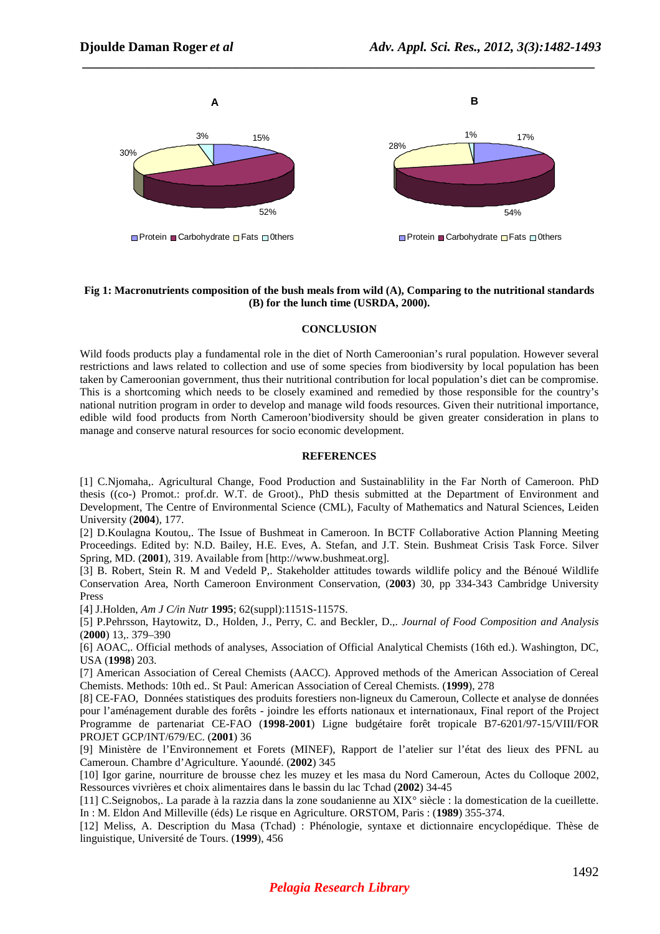

 *\_\_\_\_\_\_\_\_\_\_\_\_\_\_\_\_\_\_\_\_\_\_\_\_\_\_\_\_\_\_\_\_\_\_\_\_\_\_\_\_\_\_\_\_\_\_\_\_\_\_\_\_\_\_\_\_\_\_\_\_\_\_\_\_\_\_\_\_\_\_\_\_\_\_\_\_\_*

#### **Fig 1: Macronutrients composition of the bush meals from wild (A), Comparing to the nutritional standards (B) for the lunch time (USRDA, 2000).**

#### **CONCLUSION**

Wild foods products play a fundamental role in the diet of North Cameroonian's rural population. However several restrictions and laws related to collection and use of some species from biodiversity by local population has been taken by Cameroonian government, thus their nutritional contribution for local population's diet can be compromise. This is a shortcoming which needs to be closely examined and remedied by those responsible for the country's national nutrition program in order to develop and manage wild foods resources. Given their nutritional importance, edible wild food products from North Cameroon'biodiversity should be given greater consideration in plans to manage and conserve natural resources for socio economic development.

#### **REFERENCES**

[1] C.Njomaha,. Agricultural Change, Food Production and Sustainablility in the Far North of Cameroon. PhD thesis ((co-) Promot.: prof.dr. W.T. de Groot)., PhD thesis submitted at the Department of Environment and Development, The Centre of Environmental Science (CML), Faculty of Mathematics and Natural Sciences, Leiden University (**2004**), 177.

[2] D.Koulagna Koutou,. The Issue of Bushmeat in Cameroon. In BCTF Collaborative Action Planning Meeting Proceedings. Edited by: N.D. Bailey, H.E. Eves, A. Stefan, and J.T. Stein. Bushmeat Crisis Task Force. Silver Spring, MD. (**2001**), 319. Available from [http://www.bushmeat.org].

[3] B. Robert, Stein R. M and Vedeld P,. Stakeholder attitudes towards wildlife policy and the Bénoué Wildlife Conservation Area, North Cameroon Environment Conservation, (**2003**) 30, pp 334-343 Cambridge University Press

[4] J.Holden, *Am J C/in Nutr* **1995**; 62(suppl):1151S-1157S.

[5] P.Pehrsson, Haytowitz, D., Holden, J., Perry, C. and Beckler, D.,. *Journal of Food Composition and Analysis* (**2000**) 13,. 379–390

[6] AOAC,. Official methods of analyses, Association of Official Analytical Chemists (16th ed.). Washington, DC, USA (**1998**) 203.

[7] American Association of Cereal Chemists (AACC). Approved methods of the American Association of Cereal Chemists. Methods: 10th ed.. St Paul: American Association of Cereal Chemists. (**1999**), 278

[8] CE-FAO, Données statistiques des produits forestiers non-ligneux du Cameroun, Collecte et analyse de données pour l'aménagement durable des forêts - joindre les efforts nationaux et internationaux, Final report of the Project Programme de partenariat CE-FAO (**1998**-**2001**) Ligne budgétaire forêt tropicale B7-6201/97-15/VIII/FOR PROJET GCP/INT/679/EC. (**2001**) 36

[9] Ministère de l'Environnement et Forets (MINEF), Rapport de l'atelier sur l'état des lieux des PFNL au Cameroun. Chambre d'Agriculture. Yaoundé. (**2002**) 345

[10] Igor garine, nourriture de brousse chez les muzey et les masa du Nord Cameroun, Actes du Colloque 2002, Ressources vivrières et choix alimentaires dans le bassin du lac Tchad (**2002**) 34-45

[11] C.Seignobos,. La parade à la razzia dans la zone soudanienne au XIX° siècle : la domestication de la cueillette. In : M. Eldon And Milleville (éds) Le risque en Agriculture. ORSTOM, Paris : (**1989**) 355-374.

[12] Meliss, A. Description du Masa (Tchad) : Phénologie, syntaxe et dictionnaire encyclopédique. Thèse de linguistique, Université de Tours. (**1999**), 456